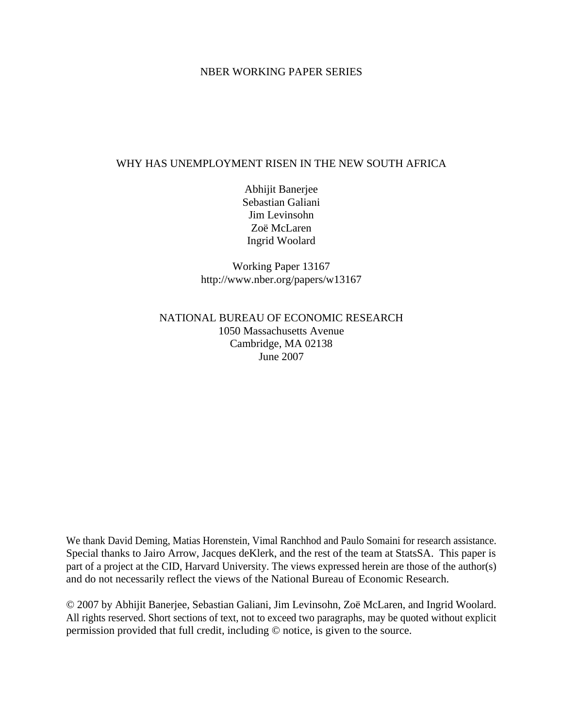## NBER WORKING PAPER SERIES

## WHY HAS UNEMPLOYMENT RISEN IN THE NEW SOUTH AFRICA

Abhijit Banerjee Sebastian Galiani Jim Levinsohn Zoë McLaren Ingrid Woolard

Working Paper 13167 http://www.nber.org/papers/w13167

# NATIONAL BUREAU OF ECONOMIC RESEARCH 1050 Massachusetts Avenue Cambridge, MA 02138 June 2007

We thank David Deming, Matias Horenstein, Vimal Ranchhod and Paulo Somaini for research assistance. Special thanks to Jairo Arrow, Jacques deKlerk, and the rest of the team at StatsSA. This paper is part of a project at the CID, Harvard University. The views expressed herein are those of the author(s) and do not necessarily reflect the views of the National Bureau of Economic Research.

© 2007 by Abhijit Banerjee, Sebastian Galiani, Jim Levinsohn, Zoë McLaren, and Ingrid Woolard. All rights reserved. Short sections of text, not to exceed two paragraphs, may be quoted without explicit permission provided that full credit, including © notice, is given to the source.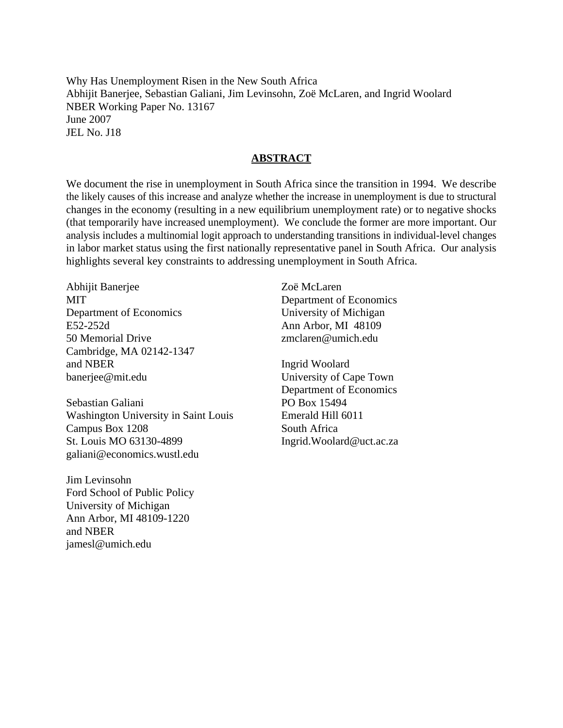Why Has Unemployment Risen in the New South Africa Abhijit Banerjee, Sebastian Galiani, Jim Levinsohn, Zoë McLaren, and Ingrid Woolard NBER Working Paper No. 13167 June 2007 JEL No. J18

# **ABSTRACT**

We document the rise in unemployment in South Africa since the transition in 1994. We describe the likely causes of this increase and analyze whether the increase in unemployment is due to structural changes in the economy (resulting in a new equilibrium unemployment rate) or to negative shocks (that temporarily have increased unemployment). We conclude the former are more important. Our analysis includes a multinomial logit approach to understanding transitions in individual-level changes in labor market status using the first nationally representative panel in South Africa. Our analysis highlights several key constraints to addressing unemployment in South Africa.

Abhijit Banerjee MIT Department of Economics E52-252d 50 Memorial Drive Cambridge, MA 02142-1347 and NBER banerjee@mit.edu

Sebastian Galiani Washington University in Saint Louis Campus Box 1208 St. Louis MO 63130-4899 galiani@economics.wustl.edu

Jim Levinsohn Ford School of Public Policy University of Michigan Ann Arbor, MI 48109-1220 and NBER jamesl@umich.edu

Zoë McLaren Department of Economics University of Michigan Ann Arbor, MI 48109 zmclaren@umich.edu

Ingrid Woolard University of Cape Town Department of Economics PO Box 15494 Emerald Hill 6011 South Africa Ingrid.Woolard@uct.ac.za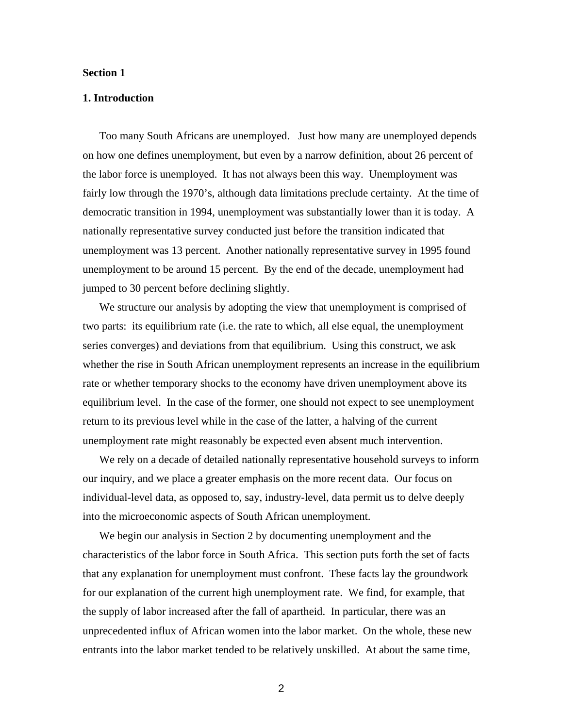#### **Section 1**

## **1. Introduction**

Too many South Africans are unemployed. Just how many are unemployed depends on how one defines unemployment, but even by a narrow definition, about 26 percent of the labor force is unemployed. It has not always been this way. Unemployment was fairly low through the 1970's, although data limitations preclude certainty. At the time of democratic transition in 1994, unemployment was substantially lower than it is today. A nationally representative survey conducted just before the transition indicated that unemployment was 13 percent. Another nationally representative survey in 1995 found unemployment to be around 15 percent. By the end of the decade, unemployment had jumped to 30 percent before declining slightly.

We structure our analysis by adopting the view that unemployment is comprised of two parts: its equilibrium rate (i.e. the rate to which, all else equal, the unemployment series converges) and deviations from that equilibrium. Using this construct, we ask whether the rise in South African unemployment represents an increase in the equilibrium rate or whether temporary shocks to the economy have driven unemployment above its equilibrium level. In the case of the former, one should not expect to see unemployment return to its previous level while in the case of the latter, a halving of the current unemployment rate might reasonably be expected even absent much intervention.

We rely on a decade of detailed nationally representative household surveys to inform our inquiry, and we place a greater emphasis on the more recent data. Our focus on individual-level data, as opposed to, say, industry-level, data permit us to delve deeply into the microeconomic aspects of South African unemployment.

We begin our analysis in Section 2 by documenting unemployment and the characteristics of the labor force in South Africa. This section puts forth the set of facts that any explanation for unemployment must confront. These facts lay the groundwork for our explanation of the current high unemployment rate. We find, for example, that the supply of labor increased after the fall of apartheid. In particular, there was an unprecedented influx of African women into the labor market. On the whole, these new entrants into the labor market tended to be relatively unskilled. At about the same time,

2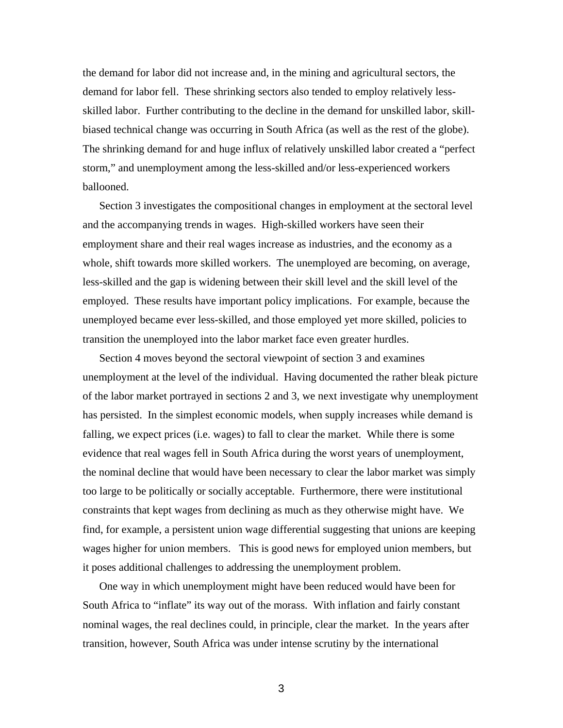the demand for labor did not increase and, in the mining and agricultural sectors, the demand for labor fell. These shrinking sectors also tended to employ relatively lessskilled labor. Further contributing to the decline in the demand for unskilled labor, skillbiased technical change was occurring in South Africa (as well as the rest of the globe). The shrinking demand for and huge influx of relatively unskilled labor created a "perfect storm," and unemployment among the less-skilled and/or less-experienced workers ballooned.

Section 3 investigates the compositional changes in employment at the sectoral level and the accompanying trends in wages. High-skilled workers have seen their employment share and their real wages increase as industries, and the economy as a whole, shift towards more skilled workers. The unemployed are becoming, on average, less-skilled and the gap is widening between their skill level and the skill level of the employed. These results have important policy implications. For example, because the unemployed became ever less-skilled, and those employed yet more skilled, policies to transition the unemployed into the labor market face even greater hurdles.

Section 4 moves beyond the sectoral viewpoint of section 3 and examines unemployment at the level of the individual. Having documented the rather bleak picture of the labor market portrayed in sections 2 and 3, we next investigate why unemployment has persisted. In the simplest economic models, when supply increases while demand is falling, we expect prices (i.e. wages) to fall to clear the market. While there is some evidence that real wages fell in South Africa during the worst years of unemployment, the nominal decline that would have been necessary to clear the labor market was simply too large to be politically or socially acceptable. Furthermore, there were institutional constraints that kept wages from declining as much as they otherwise might have. We find, for example, a persistent union wage differential suggesting that unions are keeping wages higher for union members. This is good news for employed union members, but it poses additional challenges to addressing the unemployment problem.

One way in which unemployment might have been reduced would have been for South Africa to "inflate" its way out of the morass. With inflation and fairly constant nominal wages, the real declines could, in principle, clear the market. In the years after transition, however, South Africa was under intense scrutiny by the international

3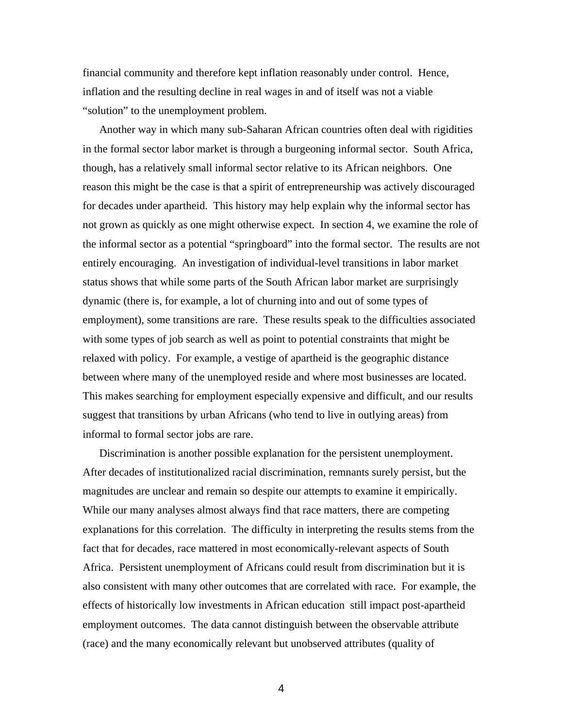financial community and therefore kept inflation reasonably under control. Hence, inflation and the resulting decline in real wages in and of itself was not a viable "solution" to the unemployment problem.

Another way in which many sub-Saharan African countries often deal with rigidities in the formal sector labor market is through a burgeoning informal sector. South Africa, though, has a relatively small informal sector relative to its African neighbors. One reason this might be the case is that a spirit of entrepreneurship was actively discouraged for decades under apartheid. This history may help explain why the informal sector has not grown as quickly as one might otherwise expect. In section 4, we examine the role of the informal sector as a potential "springboard" into the formal sector. The results are not entirely encouraging. An investigation of individual-level transitions in labor market status shows that while some parts of the South African labor market are surprisingly dynamic (there is, for example, a lot of churning into and out of some types of employment), some transitions are rare. These results speak to the difficulties associated with some types of job search as well as point to potential constraints that might be relaxed with policy. For example, a vestige of apartheid is the geographic distance between where many of the unemployed reside and where most businesses are located. This makes searching for employment especially expensive and difficult, and our results suggest that transitions by urban Africans (who tend to live in outlying areas) from informal to formal sector jobs are rare.

Discrimination is another possible explanation for the persistent unemployment. After decades of institutionalized racial discrimination, remnants surely persist, but the magnitudes are unclear and remain so despite our attempts to examine it empirically. While our many analyses almost always find that race matters, there are competing explanations for this correlation. The difficulty in interpreting the results stems from the fact that for decades, race mattered in most economically-relevant aspects of South Africa. Persistent unemployment of Africans could result from discrimination but it is also consistent with many other outcomes that are correlated with race. For example, the effects of historically low investments in African education still impact post-apartheid employment outcomes. The data cannot distinguish between the observable attribute (race) and the many economically relevant but unobserved attributes (quality of

4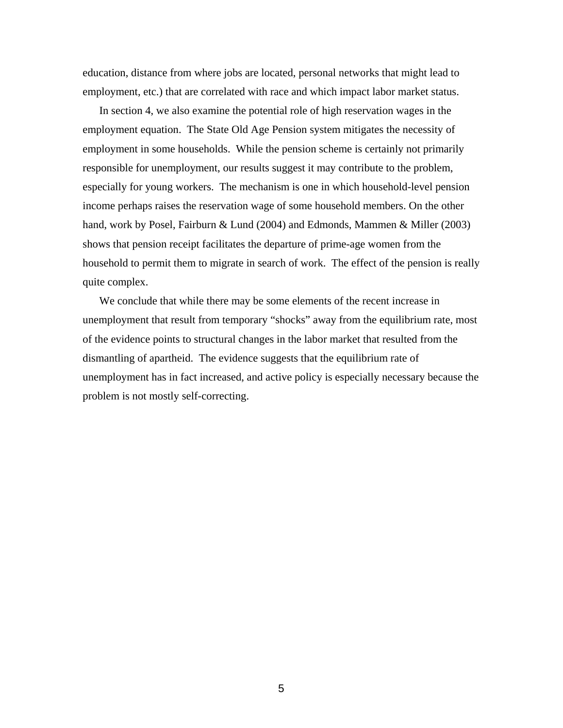education, distance from where jobs are located, personal networks that might lead to employment, etc.) that are correlated with race and which impact labor market status.

In section 4, we also examine the potential role of high reservation wages in the employment equation. The State Old Age Pension system mitigates the necessity of employment in some households. While the pension scheme is certainly not primarily responsible for unemployment, our results suggest it may contribute to the problem, especially for young workers. The mechanism is one in which household-level pension income perhaps raises the reservation wage of some household members. On the other hand, work by Posel, Fairburn & Lund (2004) and Edmonds, Mammen & Miller (2003) shows that pension receipt facilitates the departure of prime-age women from the household to permit them to migrate in search of work. The effect of the pension is really quite complex.

We conclude that while there may be some elements of the recent increase in unemployment that result from temporary "shocks" away from the equilibrium rate, most of the evidence points to structural changes in the labor market that resulted from the dismantling of apartheid. The evidence suggests that the equilibrium rate of unemployment has in fact increased, and active policy is especially necessary because the problem is not mostly self-correcting.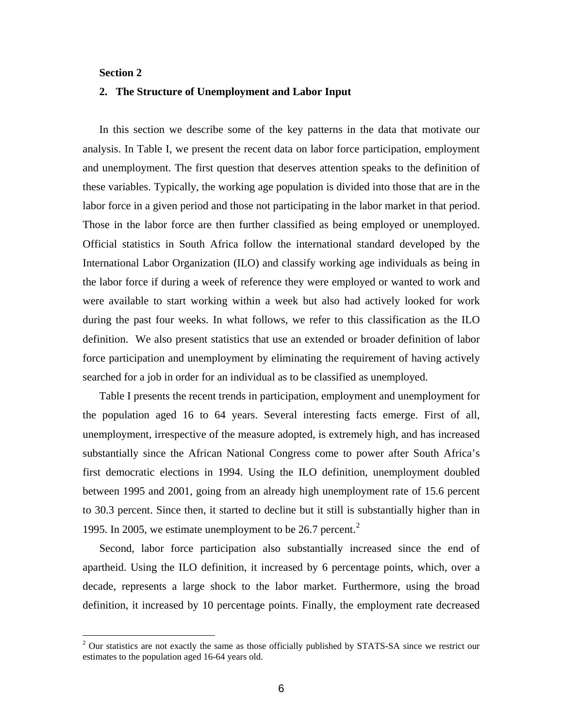## **Section 2**

 $\overline{a}$ 

## **2. The Structure of Unemployment and Labor Input**

In this section we describe some of the key patterns in the data that motivate our analysis. In Table I, we present the recent data on labor force participation, employment and unemployment. The first question that deserves attention speaks to the definition of these variables. Typically, the working age population is divided into those that are in the labor force in a given period and those not participating in the labor market in that period. Those in the labor force are then further classified as being employed or unemployed. Official statistics in South Africa follow the international standard developed by the International Labor Organization (ILO) and classify working age individuals as being in the labor force if during a week of reference they were employed or wanted to work and were available to start working within a week but also had actively looked for work during the past four weeks. In what follows, we refer to this classification as the ILO definition. We also present statistics that use an extended or broader definition of labor force participation and unemployment by eliminating the requirement of having actively searched for a job in order for an individual as to be classified as unemployed.

Table I presents the recent trends in participation, employment and unemployment for the population aged 16 to 64 years. Several interesting facts emerge. First of all, unemployment, irrespective of the measure adopted, is extremely high, and has increased substantially since the African National Congress come to power after South Africa's first democratic elections in 1994. Using the ILO definition, unemployment doubled between 1995 and 2001, going from an already high unemployment rate of 15.6 percent to 30.3 percent. Since then, it started to decline but it still is substantially higher than in 1995. In [2](#page-6-0)005, we estimate unemployment to be  $26.7$  percent.<sup>2</sup>

Second, labor force participation also substantially increased since the end of apartheid. Using the ILO definition, it increased by 6 percentage points, which, over a decade, represents a large shock to the labor market. Furthermore, using the broad definition, it increased by 10 percentage points. Finally, the employment rate decreased

<span id="page-6-0"></span> $2$  Our statistics are not exactly the same as those officially published by STATS-SA since we restrict our estimates to the population aged 16-64 years old.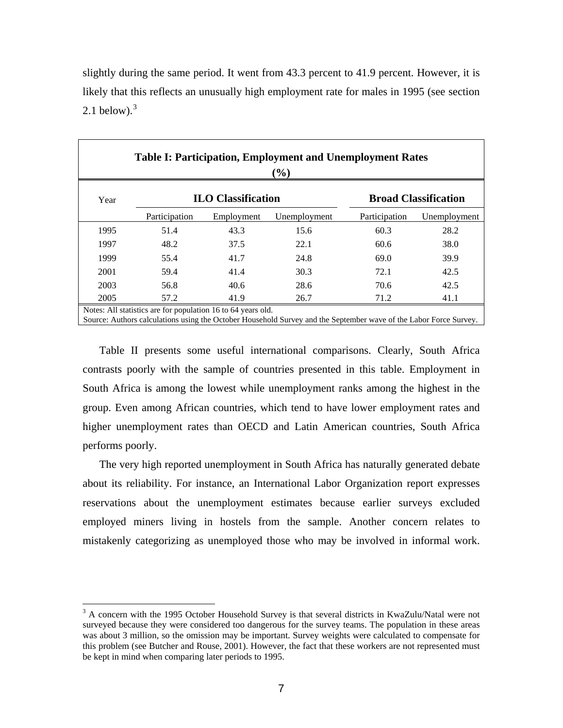| slightly during the same period. It went from 43.3 percent to 41.9 percent. However, it is |
|--------------------------------------------------------------------------------------------|
| likely that this reflects an unusually high employment rate for males in 1995 (see section |
| 2.1 below). <sup>3</sup>                                                                   |

|      |                                                              |                           | <b>Table I: Participation, Employment and Unemployment Rates</b><br>$(\%)$                                        |               |                             |
|------|--------------------------------------------------------------|---------------------------|-------------------------------------------------------------------------------------------------------------------|---------------|-----------------------------|
| Year |                                                              | <b>ILO Classification</b> |                                                                                                                   |               | <b>Broad Classification</b> |
|      | Participation                                                | Employment                | Unemployment                                                                                                      | Participation | Unemployment                |
| 1995 | 51.4                                                         | 43.3                      | 15.6                                                                                                              | 60.3          | 28.2                        |
| 1997 | 48.2                                                         | 37.5                      | 22.1                                                                                                              | 60.6          | 38.0                        |
| 1999 | 55.4                                                         | 41.7                      | 24.8                                                                                                              | 69.0          | 39.9                        |
| 2001 | 59.4                                                         | 41.4                      | 30.3                                                                                                              | 72.1          | 42.5                        |
| 2003 | 56.8                                                         | 40.6                      | 28.6                                                                                                              | 70.6          | 42.5                        |
| 2005 | 57.2                                                         | 41.9                      | 26.7                                                                                                              | 71.2          | 41.1                        |
|      | Notes: All statistics are for population 16 to 64 years old. |                           | Source: Authors calculations using the October Household Survey and the September wave of the Labor Force Survey. |               |                             |

Table II presents some useful international comparisons. Clearly, South Africa contrasts poorly with the sample of countries presented in this table. Employment in South Africa is among the lowest while unemployment ranks among the highest in the group. Even among African countries, which tend to have lower employment rates and higher unemployment rates than OECD and Latin American countries, South Africa performs poorly.

The very high reported unemployment in South Africa has naturally generated debate about its reliability. For instance, an International Labor Organization report expresses reservations about the unemployment estimates because earlier surveys excluded employed miners living in hostels from the sample. Another concern relates to mistakenly categorizing as unemployed those who may be involved in informal work.

 $\overline{a}$ 

<span id="page-7-0"></span><sup>&</sup>lt;sup>3</sup> A concern with the 1995 October Household Survey is that several districts in KwaZulu/Natal were not surveyed because they were considered too dangerous for the survey teams. The population in these areas was about 3 million, so the omission may be important. Survey weights were calculated to compensate for this problem (see Butcher and Rouse, 2001). However, the fact that these workers are not represented must be kept in mind when comparing later periods to 1995.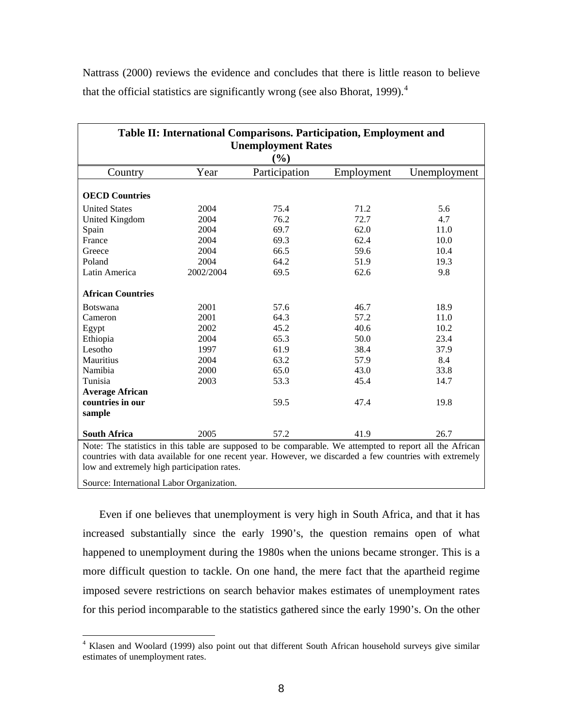Nattrass (2000) reviews the evidence and concludes that there is little reason to believe that the official statistics are significantly wrong (see also Bhorat, 1999).<sup>[4](#page-8-0)</sup>

| Table II: International Comparisons. Participation, Employment and<br><b>Unemployment Rates</b><br>$(\%)$                                                                                                                                                          |           |               |            |              |  |  |
|--------------------------------------------------------------------------------------------------------------------------------------------------------------------------------------------------------------------------------------------------------------------|-----------|---------------|------------|--------------|--|--|
| Country                                                                                                                                                                                                                                                            | Year      | Participation | Employment | Unemployment |  |  |
| <b>OECD Countries</b>                                                                                                                                                                                                                                              |           |               |            |              |  |  |
| <b>United States</b>                                                                                                                                                                                                                                               | 2004      | 75.4          | 71.2       | 5.6          |  |  |
| United Kingdom                                                                                                                                                                                                                                                     | 2004      | 76.2          | 72.7       | 4.7          |  |  |
| Spain                                                                                                                                                                                                                                                              | 2004      | 69.7          | 62.0       | 11.0         |  |  |
| France                                                                                                                                                                                                                                                             | 2004      | 69.3          | 62.4       | 10.0         |  |  |
| Greece                                                                                                                                                                                                                                                             | 2004      | 66.5          | 59.6       | 10.4         |  |  |
| Poland                                                                                                                                                                                                                                                             | 2004      | 64.2          | 51.9       | 19.3         |  |  |
| Latin America                                                                                                                                                                                                                                                      | 2002/2004 | 69.5          | 62.6       | 9.8          |  |  |
| <b>African Countries</b>                                                                                                                                                                                                                                           |           |               |            |              |  |  |
| <b>Botswana</b>                                                                                                                                                                                                                                                    | 2001      | 57.6          | 46.7       | 18.9         |  |  |
| Cameron                                                                                                                                                                                                                                                            | 2001      | 64.3          | 57.2       | 11.0         |  |  |
| Egypt                                                                                                                                                                                                                                                              | 2002      | 45.2          | 40.6       | 10.2         |  |  |
| Ethiopia                                                                                                                                                                                                                                                           | 2004      | 65.3          | 50.0       | 23.4         |  |  |
| Lesotho                                                                                                                                                                                                                                                            | 1997      | 61.9          | 38.4       | 37.9         |  |  |
| Mauritius                                                                                                                                                                                                                                                          | 2004      | 63.2          | 57.9       | 8.4          |  |  |
| Namibia                                                                                                                                                                                                                                                            | 2000      | 65.0          | 43.0       | 33.8         |  |  |
| Tunisia                                                                                                                                                                                                                                                            | 2003      | 53.3          | 45.4       | 14.7         |  |  |
| <b>Average African</b>                                                                                                                                                                                                                                             |           |               |            |              |  |  |
| countries in our                                                                                                                                                                                                                                                   |           | 59.5          | 47.4       | 19.8         |  |  |
| sample                                                                                                                                                                                                                                                             |           |               |            |              |  |  |
| <b>South Africa</b>                                                                                                                                                                                                                                                | 2005      | 57.2          | 41.9       | 26.7         |  |  |
| Note: The statistics in this table are supposed to be comparable. We attempted to report all the African<br>countries with data available for one recent year. However, we discarded a few countries with extremely<br>low and extremely high participation rates. |           |               |            |              |  |  |

Source: International Labor Organization.

 $\overline{a}$ 

Even if one believes that unemployment is very high in South Africa, and that it has increased substantially since the early 1990's, the question remains open of what happened to unemployment during the 1980s when the unions became stronger. This is a more difficult question to tackle. On one hand, the mere fact that the apartheid regime imposed severe restrictions on search behavior makes estimates of unemployment rates for this period incomparable to the statistics gathered since the early 1990's. On the other

<span id="page-8-0"></span><sup>&</sup>lt;sup>4</sup> Klasen and Woolard (1999) also point out that different South African household surveys give similar estimates of unemployment rates.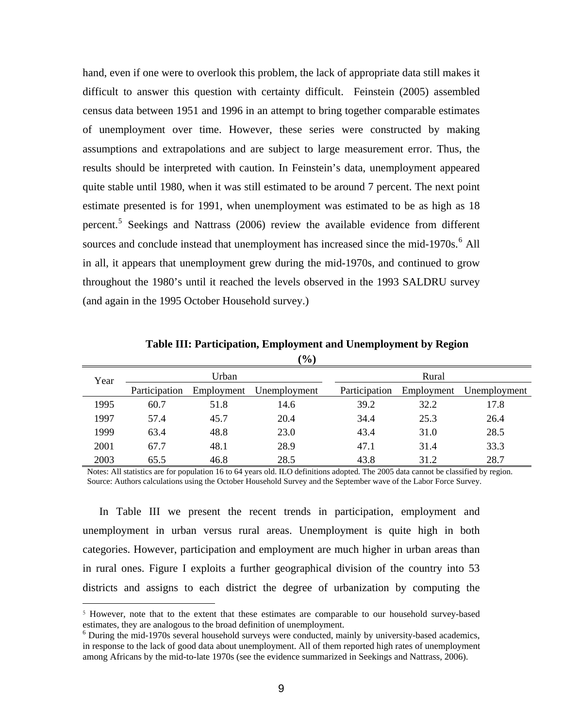hand, even if one were to overlook this problem, the lack of appropriate data still makes it difficult to answer this question with certainty difficult. Feinstein (2005) assembled census data between 1951 and 1996 in an attempt to bring together comparable estimates of unemployment over time. However, these series were constructed by making assumptions and extrapolations and are subject to large measurement error. Thus, the results should be interpreted with caution. In Feinstein's data, unemployment appeared quite stable until 1980, when it was still estimated to be around 7 percent. The next point estimate presented is for 1991, when unemployment was estimated to be as high as 18 percent.<sup>[5](#page-9-0)</sup> Seekings and Nattrass (2006) review the available evidence from different sources and conclude instead that unemployment has increased since the mid-1970s.<sup>[6](#page-9-1)</sup> All in all, it appears that unemployment grew during the mid-1970s, and continued to grow throughout the 1980's until it reached the levels observed in the 1993 SALDRU survey (and again in the 1995 October Household survey.)

**Table III: Participation, Employment and Unemployment by Region**   $(0/3)$ 

|      |               |            | 70 J         |               |            |              |  |  |  |
|------|---------------|------------|--------------|---------------|------------|--------------|--|--|--|
| Year |               | Urban      |              |               | Rural      |              |  |  |  |
|      | Participation | Employment | Unemployment | Participation | Employment | Unemployment |  |  |  |
| 1995 | 60.7          | 51.8       | 14.6         | 39.2          | 32.2       | 17.8         |  |  |  |
| 1997 | 57.4          | 45.7       | 20.4         | 34.4          | 25.3       | 26.4         |  |  |  |
| 1999 | 63.4          | 48.8       | 23.0         | 43.4          | 31.0       | 28.5         |  |  |  |
| 2001 | 67.7          | 48.1       | 28.9         | 47.1          | 31.4       | 33.3         |  |  |  |
| 2003 | 65.5          | 46.8       | 28.5         | 43.8          | 31.2       | 28.7         |  |  |  |

Notes: All statistics are for population 16 to 64 years old. ILO definitions adopted. The 2005 data cannot be classified by region. Source: Authors calculations using the October Household Survey and the September wave of the Labor Force Survey.

In Table III we present the recent trends in participation, employment and unemployment in urban versus rural areas. Unemployment is quite high in both categories. However, participation and employment are much higher in urban areas than in rural ones. Figure I exploits a further geographical division of the country into 53 districts and assigns to each district the degree of urbanization by computing the

 $\overline{a}$ 

<span id="page-9-0"></span><sup>5</sup> However, note that to the extent that these estimates are comparable to our household survey-based estimates, they are analogous to the broad definition of unemployment.

<span id="page-9-1"></span>During the mid-1970s several household surveys were conducted, mainly by university-based academics, in response to the lack of good data about unemployment. All of them reported high rates of unemployment among Africans by the mid-to-late 1970s (see the evidence summarized in Seekings and Nattrass, 2006).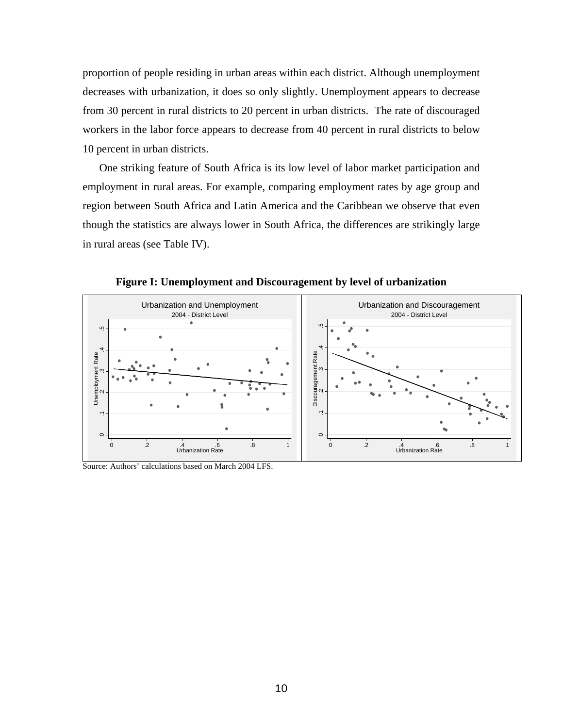proportion of people residing in urban areas within each district. Although unemployment decreases with urbanization, it does so only slightly. Unemployment appears to decrease from 30 percent in rural districts to 20 percent in urban districts. The rate of discouraged workers in the labor force appears to decrease from 40 percent in rural districts to below 10 percent in urban districts.

One striking feature of South Africa is its low level of labor market participation and employment in rural areas. For example, comparing employment rates by age group and region between South Africa and Latin America and the Caribbean we observe that even though the statistics are always lower in South Africa, the differences are strikingly large in rural areas (see Table IV).



**Figure I: Unemployment and Discouragement by level of urbanization** 

Source: Authors' calculations based on March 2004 LFS.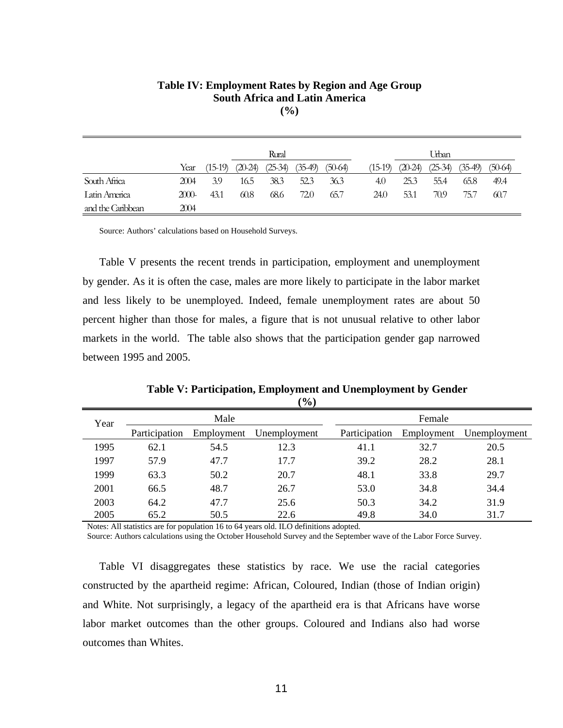|                   |          |         |         | 170 J     |         |           |           |         |           |         |           |  |
|-------------------|----------|---------|---------|-----------|---------|-----------|-----------|---------|-----------|---------|-----------|--|
| Rural             |          |         |         |           |         |           |           | Urban   |           |         |           |  |
|                   | Year     | (15-19) | (20-24) | $(25-34)$ | $35-49$ | $(50-64)$ | $(15-19)$ | (20-24) | $(25-34)$ | (35-49) | $(50-64)$ |  |
| South Africa      | 2004     | 3.9     | 16.5    | 38.3      | 52.3    | 36.3      | 4.0       | 25.3    | 55.4      | 65.8    | 49.4      |  |
| Latin America     | $2000 -$ | 43.1    | 60.8    | 68.6      | 72.0    | 65.7      | 24.0      | 53.1    | 70.9      | 75.7    | 60.7      |  |
| and the Caribbean | 2004     |         |         |           |         |           |           |         |           |         |           |  |

## **Table IV: Employment Rates by Region and Age Group South Africa and Latin America (%)**

Source: Authors' calculations based on Household Surveys.

Table V presents the recent trends in participation, employment and unemployment by gender. As it is often the case, males are more likely to participate in the labor market and less likely to be unemployed. Indeed, female unemployment rates are about 50 percent higher than those for males, a figure that is not unusual relative to other labor markets in the world. The table also shows that the participation gender gap narrowed between 1995 and 2005.

|      |               |            | , v,         |               |            |              |
|------|---------------|------------|--------------|---------------|------------|--------------|
| Year |               | Male       |              |               | Female     |              |
|      | Participation | Employment | Unemployment | Participation | Employment | Unemployment |
| 1995 | 62.1          | 54.5       | 12.3         | 41.1          | 32.7       | 20.5         |
| 1997 | 57.9          | 47.7       | 17.7         | 39.2          | 28.2       | 28.1         |
| 1999 | 63.3          | 50.2       | 20.7         | 48.1          | 33.8       | 29.7         |
| 2001 | 66.5          | 48.7       | 26.7         | 53.0          | 34.8       | 34.4         |
| 2003 | 64.2          | 47.7       | 25.6         | 50.3          | 34.2       | 31.9         |
| 2005 | 65.2          | 50.5       | 22.6         | 49.8          | 34.0       | 31.7         |

**Table V: Participation, Employment and Unemployment by Gender (%)**

Notes: All statistics are for population 16 to 64 years old. ILO definitions adopted.

Source: Authors calculations using the October Household Survey and the September wave of the Labor Force Survey.

Table VI disaggregates these statistics by race. We use the racial categories constructed by the apartheid regime: African, Coloured, Indian (those of Indian origin) and White. Not surprisingly, a legacy of the apartheid era is that Africans have worse labor market outcomes than the other groups. Coloured and Indians also had worse outcomes than Whites.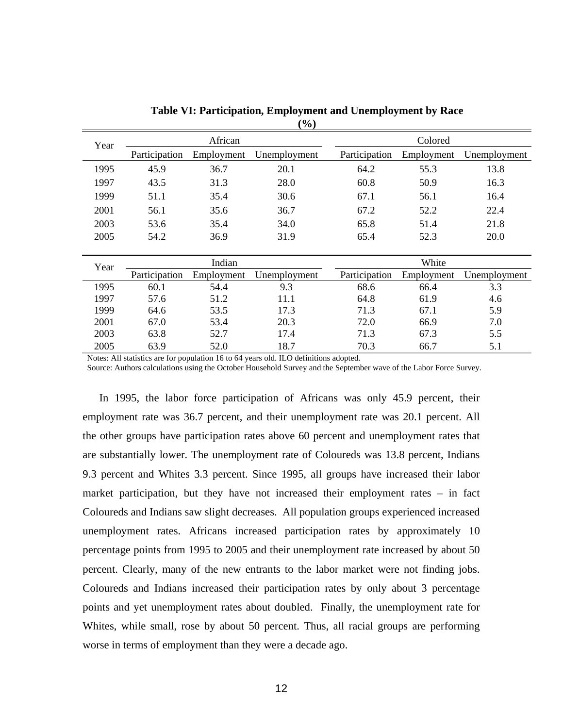|      |               |            | $\cdots$     |               |            |              |
|------|---------------|------------|--------------|---------------|------------|--------------|
| Year |               | African    |              |               | Colored    |              |
|      | Participation | Employment | Unemployment | Participation | Employment | Unemployment |
| 1995 | 45.9          | 36.7       | 20.1         | 64.2          | 55.3       | 13.8         |
| 1997 | 43.5          | 31.3       | 28.0         | 60.8          | 50.9       | 16.3         |
| 1999 | 51.1          | 35.4       | 30.6         | 67.1          | 56.1       | 16.4         |
| 2001 | 56.1          | 35.6       | 36.7         | 67.2          | 52.2       | 22.4         |
| 2003 | 53.6          | 35.4       | 34.0         | 65.8          | 51.4       | 21.8         |
| 2005 | 54.2          | 36.9       | 31.9         | 65.4          | 52.3       | 20.0         |
|      |               |            |              |               |            |              |
| Year |               | Indian     |              |               | White      |              |
|      | Participation | Employment | Unemployment | Participation | Employment | Unemployment |
| 1995 | 60.1          | 54.4       | 9.3          | 68.6          | 66.4       | 3.3          |
| 1997 | 57.6          | 51.2       | 11.1         | 64.8          | 61.9       | 4.6          |
| 1999 | 64.6          | 53.5       | 17.3         | 71.3          | 67.1       | 5.9          |
| 2001 | 67.0          | 53.4       | 20.3         | 72.0          | 66.9       | 7.0          |
| 2003 | 63.8          | 52.7       | 17.4         | 71.3          | 67.3       | 5.5          |
| 2005 | 63.9          | 52.0       | 18.7         | 70.3          | 66.7       | 5.1          |

**Table VI: Participation, Employment and Unemployment by Race (%)**

Notes: All statistics are for population 16 to 64 years old. ILO definitions adopted.

Source: Authors calculations using the October Household Survey and the September wave of the Labor Force Survey.

In 1995, the labor force participation of Africans was only 45.9 percent, their employment rate was 36.7 percent, and their unemployment rate was 20.1 percent. All the other groups have participation rates above 60 percent and unemployment rates that are substantially lower. The unemployment rate of Coloureds was 13.8 percent, Indians 9.3 percent and Whites 3.3 percent. Since 1995, all groups have increased their labor market participation, but they have not increased their employment rates – in fact Coloureds and Indians saw slight decreases. All population groups experienced increased unemployment rates. Africans increased participation rates by approximately 10 percentage points from 1995 to 2005 and their unemployment rate increased by about 50 percent. Clearly, many of the new entrants to the labor market were not finding jobs. Coloureds and Indians increased their participation rates by only about 3 percentage points and yet unemployment rates about doubled. Finally, the unemployment rate for Whites, while small, rose by about 50 percent. Thus, all racial groups are performing worse in terms of employment than they were a decade ago.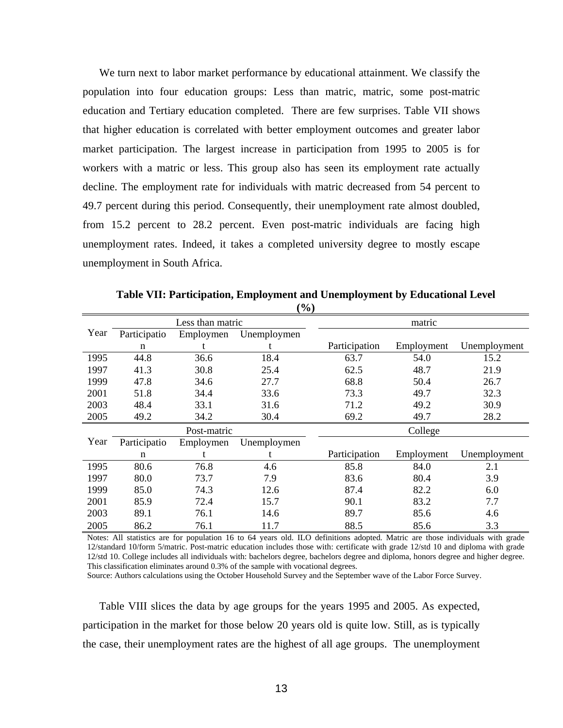We turn next to labor market performance by educational attainment. We classify the population into four education groups: Less than matric, matric, some post-matric education and Tertiary education completed. There are few surprises. Table VII shows that higher education is correlated with better employment outcomes and greater labor market participation. The largest increase in participation from 1995 to 2005 is for workers with a matric or less. This group also has seen its employment rate actually decline. The employment rate for individuals with matric decreased from 54 percent to 49.7 percent during this period. Consequently, their unemployment rate almost doubled, from 15.2 percent to 28.2 percent. Even post-matric individuals are facing high unemployment rates. Indeed, it takes a completed university degree to mostly escape unemployment in South Africa.

|      |              |                  | ( / V /     |               |            |              |  |  |  |  |
|------|--------------|------------------|-------------|---------------|------------|--------------|--|--|--|--|
|      |              | Less than matric |             |               | matric     |              |  |  |  |  |
| Year | Participatio | Employmen        | Unemploymen |               |            |              |  |  |  |  |
|      | n            |                  |             | Participation | Employment | Unemployment |  |  |  |  |
| 1995 | 44.8         | 36.6             | 18.4        | 63.7          | 54.0       | 15.2         |  |  |  |  |
| 1997 | 41.3         | 30.8             | 25.4        | 62.5          | 48.7       | 21.9         |  |  |  |  |
| 1999 | 47.8         | 34.6             | 27.7        | 68.8          | 50.4       | 26.7         |  |  |  |  |
| 2001 | 51.8         | 34.4             | 33.6        | 73.3          | 49.7       | 32.3         |  |  |  |  |
| 2003 | 48.4         | 33.1             | 31.6        | 71.2          | 49.2       | 30.9         |  |  |  |  |
| 2005 | 49.2         | 34.2             | 30.4        | 69.2          | 49.7       | 28.2         |  |  |  |  |
|      |              | Post-matric      |             |               | College    |              |  |  |  |  |
| Year | Participatio | Employmen        | Unemploymen |               |            |              |  |  |  |  |
|      | n            | t                | t           | Participation | Employment | Unemployment |  |  |  |  |
| 1995 | 80.6         | 76.8             | 4.6         | 85.8          | 84.0       | 2.1          |  |  |  |  |
| 1997 | 80.0         | 73.7             | 7.9         | 83.6          | 80.4       | 3.9          |  |  |  |  |
| 1999 | 85.0         | 74.3             | 12.6        | 87.4          | 82.2       | 6.0          |  |  |  |  |
| 2001 | 85.9         | 72.4             | 15.7        | 90.1          | 83.2       | 7.7          |  |  |  |  |
| 2003 | 89.1         | 76.1             | 14.6        | 89.7          | 85.6       | 4.6          |  |  |  |  |
| 2005 | 86.2         | 76.1             | 11.7        | 88.5          | 85.6       | 3.3          |  |  |  |  |

**Table VII: Participation, Employment and Unemployment by Educational Level (%)**

Notes: All statistics are for population 16 to 64 years old. ILO definitions adopted. Matric are those individuals with grade 12/standard 10/form 5/matric. Post-matric education includes those with: certificate with grade 12/std 10 and diploma with grade 12/std 10. College includes all individuals with: bachelors degree, bachelors degree and diploma, honors degree and higher degree. This classification eliminates around 0.3% of the sample with vocational degrees.

Source: Authors calculations using the October Household Survey and the September wave of the Labor Force Survey.

Table VIII slices the data by age groups for the years 1995 and 2005. As expected, participation in the market for those below 20 years old is quite low. Still, as is typically the case, their unemployment rates are the highest of all age groups. The unemployment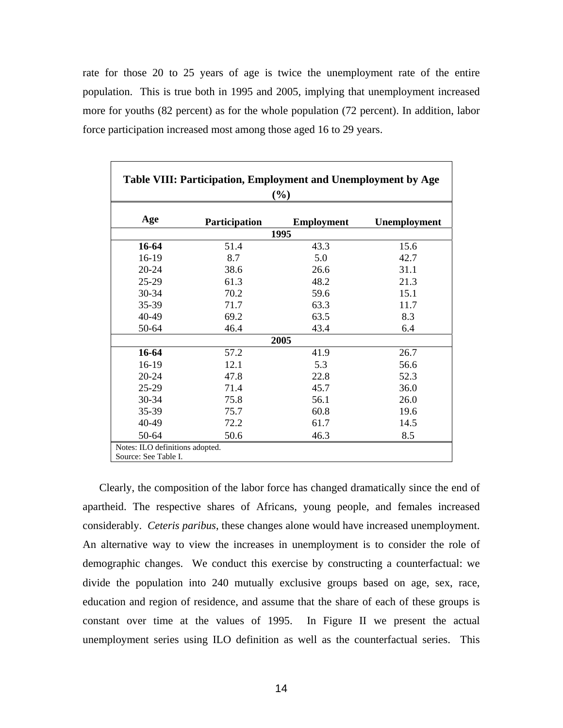rate for those 20 to 25 years of age is twice the unemployment rate of the entire population. This is true both in 1995 and 2005, implying that unemployment increased more for youths (82 percent) as for the whole population (72 percent). In addition, labor force participation increased most among those aged 16 to 29 years.

|         |               | (%)               |              |
|---------|---------------|-------------------|--------------|
| Age     | Participation | <b>Employment</b> | Unemployment |
|         |               | 1995              |              |
| 16-64   | 51.4          | 43.3              | 15.6         |
| $16-19$ | 8.7           | 5.0               | 42.7         |
| 20-24   | 38.6          | 26.6              | 31.1         |
| 25-29   | 61.3          | 48.2              | 21.3         |
| 30-34   | 70.2          | 59.6              | 15.1         |
| 35-39   | 71.7          | 63.3              | 11.7         |
| 40-49   | 69.2          | 63.5              | 8.3          |
| 50-64   | 46.4          | 43.4              | 6.4          |
|         |               | 2005              |              |
| 16-64   | 57.2          | 41.9              | 26.7         |
| 16-19   | 12.1          | 5.3               | 56.6         |
| 20-24   | 47.8          | 22.8              | 52.3         |
| $25-29$ | 71.4          | 45.7              | 36.0         |
| 30-34   | 75.8          | 56.1              | 26.0         |
| 35-39   | 75.7          | 60.8              | 19.6         |
| 40-49   | 72.2          | 61.7              | 14.5         |
| 50-64   | 50.6          | 46.3              | 8.5          |

Clearly, the composition of the labor force has changed dramatically since the end of apartheid. The respective shares of Africans, young people, and females increased considerably. *Ceteris paribus*, these changes alone would have increased unemployment. An alternative way to view the increases in unemployment is to consider the role of demographic changes. We conduct this exercise by constructing a counterfactual: we divide the population into 240 mutually exclusive groups based on age, sex, race, education and region of residence, and assume that the share of each of these groups is constant over time at the values of 1995. In Figure II we present the actual unemployment series using ILO definition as well as the counterfactual series. This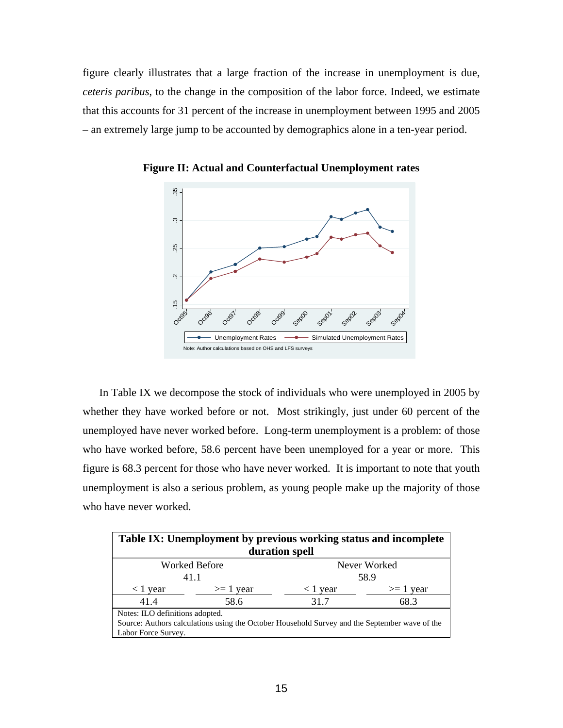figure clearly illustrates that a large fraction of the increase in unemployment is due, *ceteris paribus*, to the change in the composition of the labor force. Indeed, we estimate that this accounts for 31 percent of the increase in unemployment between 1995 and 2005 – an extremely large jump to be accounted by demographics alone in a ten-year period.



**Figure II: Actual and Counterfactual Unemployment rates** 

In Table IX we decompose the stock of individuals who were unemployed in 2005 by whether they have worked before or not. Most strikingly, just under 60 percent of the unemployed have never worked before. Long-term unemployment is a problem: of those who have worked before, 58.6 percent have been unemployed for a year or more. This figure is 68.3 percent for those who have never worked. It is important to note that youth unemployment is also a serious problem, as young people make up the majority of those who have never worked.

| Table IX: Unemployment by previous working status and incomplete                                                                                        |                      |                |               |  |  |  |  |
|---------------------------------------------------------------------------------------------------------------------------------------------------------|----------------------|----------------|---------------|--|--|--|--|
|                                                                                                                                                         |                      | duration spell |               |  |  |  |  |
|                                                                                                                                                         | <b>Worked Before</b> |                | Never Worked  |  |  |  |  |
|                                                                                                                                                         | 58.9<br>41.1         |                |               |  |  |  |  |
| $<$ 1 year                                                                                                                                              | $\geq 1$ year        | $<$ 1 year     | $\geq 1$ year |  |  |  |  |
| 41.4                                                                                                                                                    | 58.6                 | 31.7           | 68.3          |  |  |  |  |
| Notes: ILO definitions adopted.<br>Source: Authors calculations using the October Household Survey and the September wave of the<br>Labor Force Survey. |                      |                |               |  |  |  |  |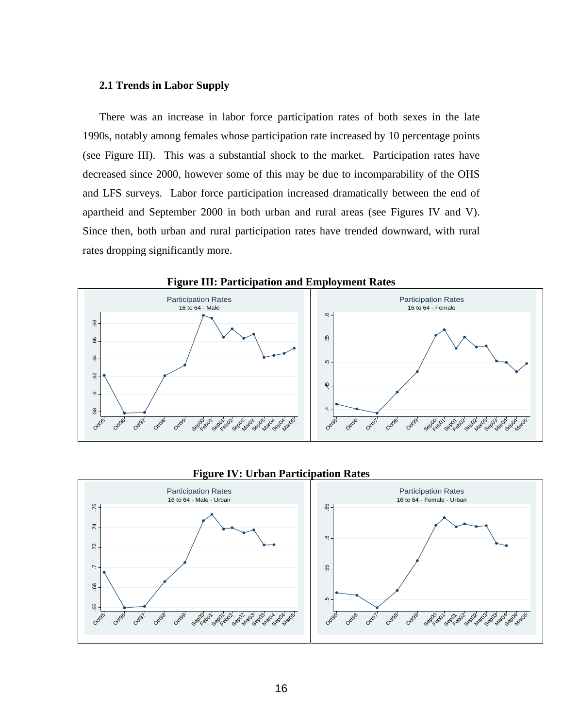# **2.1 Trends in Labor Supply**

There was an increase in labor force participation rates of both sexes in the late 1990s, notably among females whose participation rate increased by 10 percentage points (see Figure III). This was a substantial shock to the market. Participation rates have decreased since 2000, however some of this may be due to incomparability of the OHS and LFS surveys. Labor force participation increased dramatically between the end of apartheid and September 2000 in both urban and rural areas (see Figures IV and V). Since then, both urban and rural participation rates have trended downward, with rural rates dropping significantly more.



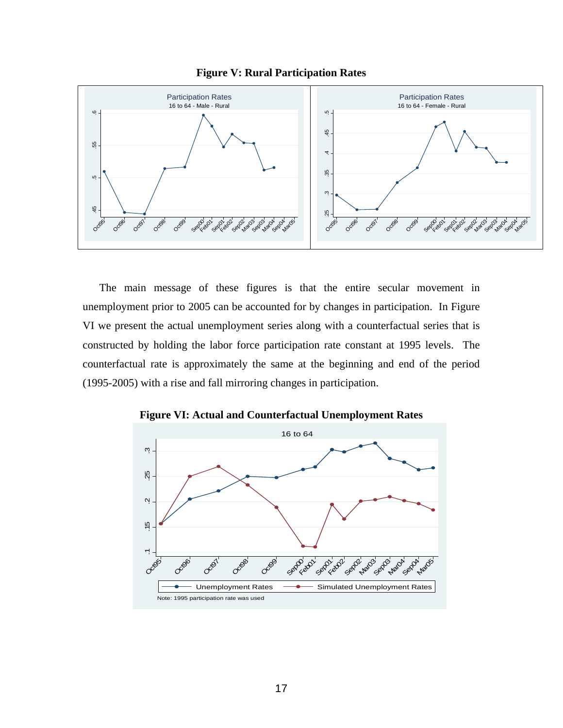



The main message of these figures is that the entire secular movement in unemployment prior to 2005 can be accounted for by changes in participation. In Figure VI we present the actual unemployment series along with a counterfactual series that is constructed by holding the labor force participation rate constant at 1995 levels. The counterfactual rate is approximately the same at the beginning and end of the period (1995-2005) with a rise and fall mirroring changes in participation.



**Figure VI: Actual and Counterfactual Unemployment Rates**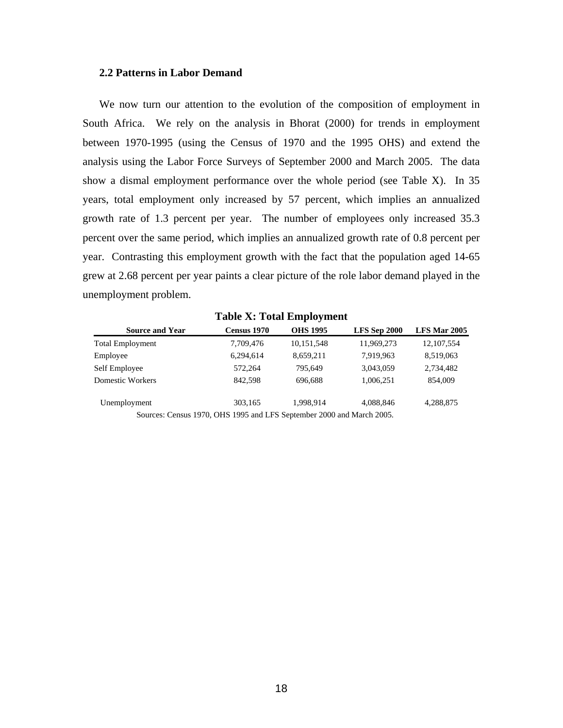#### **2.2 Patterns in Labor Demand**

We now turn our attention to the evolution of the composition of employment in South Africa. We rely on the analysis in Bhorat (2000) for trends in employment between 1970-1995 (using the Census of 1970 and the 1995 OHS) and extend the analysis using the Labor Force Surveys of September 2000 and March 2005. The data show a dismal employment performance over the whole period (see Table X). In 35 years, total employment only increased by 57 percent, which implies an annualized growth rate of 1.3 percent per year. The number of employees only increased 35.3 percent over the same period, which implies an annualized growth rate of 0.8 percent per year. Contrasting this employment growth with the fact that the population aged 14-65 grew at 2.68 percent per year paints a clear picture of the role labor demand played in the unemployment problem.

|                         | Table A: Total Employment                                            |                 |              |              |
|-------------------------|----------------------------------------------------------------------|-----------------|--------------|--------------|
| <b>Source and Year</b>  | Census 1970                                                          | <b>OHS 1995</b> | LFS Sep 2000 | LFS Mar 2005 |
| <b>Total Employment</b> | 7,709,476                                                            | 10,151,548      | 11,969,273   | 12, 107, 554 |
| Employee                | 6,294,614                                                            | 8,659,211       | 7,919,963    | 8,519,063    |
| Self Employee           | 572,264                                                              | 795.649         | 3,043,059    | 2,734,482    |
| Domestic Workers        | 842,598                                                              | 696.688         | 1,006,251    | 854,009      |
| Unemployment            | 303,165                                                              | 1,998,914       | 4,088,846    | 4,288,875    |
|                         | Sources: Census 1970, OHS 1995 and LES September 2000 and March 2005 |                 |              |              |

**Table X: Total Employment** 

Sources: Census 1970, OHS 1995 and LFS September 2000 and March 2005.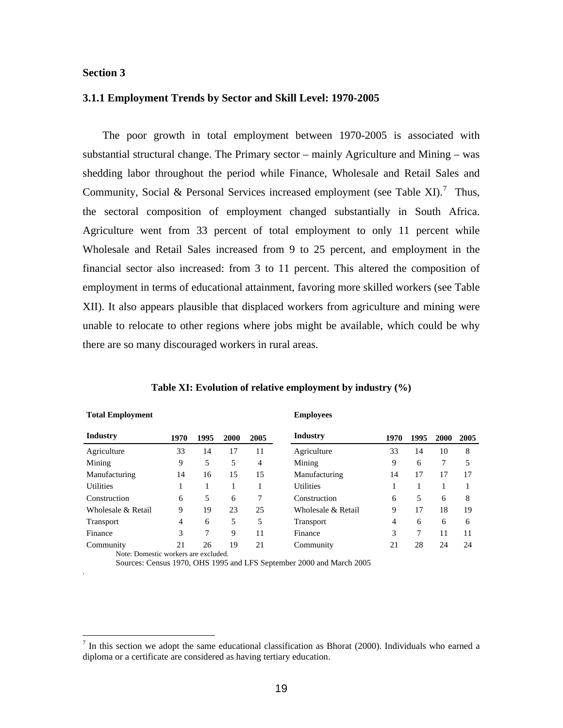#### **Section 3**

**Total Employment** 

.

 $\overline{a}$ 

#### **3.1.1 Employment Trends by Sector and Skill Level: 1970-2005**

 The poor growth in total employment between 1970-2005 is associated with substantial structural change. The Primary sector – mainly Agriculture and Mining – was shedding labor throughout the period while Finance, Wholesale and Retail Sales and Community, Social & Personal Services increased employment (see Table XI).<sup>[7](#page-19-0)</sup> Thus, the sectoral composition of employment changed substantially in South Africa. Agriculture went from 33 percent of total employment to only 11 percent while Wholesale and Retail Sales increased from 9 to 25 percent, and employment in the financial sector also increased: from 3 to 11 percent. This altered the composition of employment in terms of educational attainment, favoring more skilled workers (see Table XII). It also appears plausible that displaced workers from agriculture and mining were unable to relocate to other regions where jobs might be available, which could be why there are so many discouraged workers in rural areas.

| Industry                             | 1970 | 1995 | 2000 | 2005 | Industry           | 1970 | 1995 | 2000 | 2005 |
|--------------------------------------|------|------|------|------|--------------------|------|------|------|------|
| Agriculture                          | 33   | 14   | 17   | 11   | Agriculture        | 33   | 14   | 10   | 8    |
| Mining                               | 9    | 5    | 5    | 4    | Mining             | 9    | 6    | 7    | 5    |
| Manufacturing                        | 14   | 16   | 15   | 15   | Manufacturing      | 14   | 17   | 17   | 17   |
| <b>Utilities</b>                     |      |      |      |      | <b>Utilities</b>   |      |      |      |      |
| Construction                         | 6    | 5    | 6    | 7    | Construction       | 6    | 5    | 6    | 8    |
| Wholesale & Retail                   | 9    | 19   | 23   | 25   | Wholesale & Retail | 9    | 17   | 18   | 19   |
| Transport                            | 4    | 6    | 5    | 5    | <b>Transport</b>   | 4    | 6    | 6    | 6    |
| Finance                              | 3    | 7    | 9    | 11   | Finance            | 3    | 7    | 11   | 11   |
| Community                            | 21   | 26   | 19   | 21   | Community          | 21   | 28   | 24   | 24   |
| Note: Domestic workers are excluded. |      |      |      |      |                    |      |      |      |      |

#### **Table XI: Evolution of relative employment by industry (%)**

**Employees** 

Sources: Census 1970, OHS 1995 and LFS September 2000 and March 2005

<span id="page-19-0"></span> $<sup>7</sup>$  In this section we adopt the same educational classification as Bhorat (2000). Individuals who earned a</sup> diploma or a certificate are considered as having tertiary education.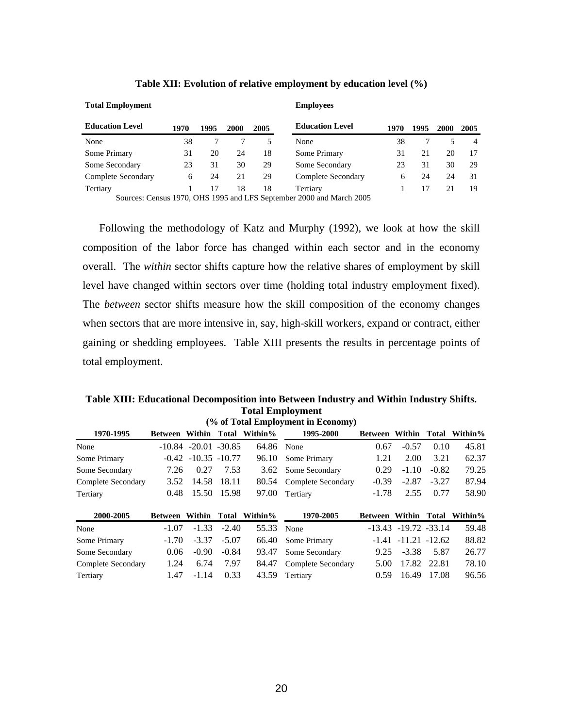| <b>Education Level</b> | 1970 | 1995 | 2000 | 2005 | <b>Education Level</b>                                               | 1970 | 1995 | 2000 | 2005           |
|------------------------|------|------|------|------|----------------------------------------------------------------------|------|------|------|----------------|
| None                   | 38   |      |      |      | None                                                                 | 38   |      |      | $\overline{4}$ |
| Some Primary           | 31   | 20   | 24   | 18   | Some Primary                                                         | 31   | 21   | 20   | 17             |
| Some Secondary         | 23   | 31   | 30   | 29   | Some Secondary                                                       | 23   | 31   | 30   | 29             |
| Complete Secondary     | 6    | 24   | 21   | 29   | Complete Secondary                                                   | 6    | 24   | 24   | 31             |
| Tertiary               |      |      | 18   | 18   | Tertiary                                                             |      | 17   | 21   | 19             |
|                        |      |      |      |      | Sources: Cangus 1070, OHS 1005 and LES September 2000 and March 2005 |      |      |      |                |

#### **Table XII: Evolution of relative employment by education level (%)**

**Employees** 

Sources: Census 1970, OHS 1995 and LFS September 2000 and March 2005

**Total Employment** 

Following the methodology of Katz and Murphy (1992), we look at how the skill composition of the labor force has changed within each sector and in the economy overall. The *within* sector shifts capture how the relative shares of employment by skill level have changed within sectors over time (holding total industry employment fixed). The *between* sector shifts measure how the skill composition of the economy changes when sectors that are more intensive in, say, high-skill workers, expand or contract, either gaining or shedding employees. Table XIII presents the results in percentage points of total employment.

#### **Table XIII: Educational Decomposition into Between Industry and Within Industry Shifts. Total Employment (% of Total Employment in Economy)**

|                    |                       |                            |             |            | (70 он тогат енгрлоунгент нь есопонну) |                      |                            |             |         |
|--------------------|-----------------------|----------------------------|-------------|------------|----------------------------------------|----------------------|----------------------------|-------------|---------|
| 1970-1995          | Between Within Total  |                            |             | Within%    | 1995-2000                              | Between Within Total |                            |             | Within% |
| None               |                       | $-10.84$ $-20.01$ $-30.85$ |             | 64.86 None |                                        | 0.67                 | $-0.57$                    | 0.10        | 45.81   |
| Some Primary       |                       | $-0.42$ $-10.35$ $-10.77$  |             | 96.10      | Some Primary                           | 1.21                 | 2.00                       | 3.21        | 62.37   |
| Some Secondary     | 7.26                  | 0.27                       | 7.53        | 3.62       | Some Secondary                         | 0.29                 | $-1.10$                    | $-0.82$     | 79.25   |
| Complete Secondary | 3.52                  | 14.58                      | 18.11       | 80.54      | Complete Secondary                     | $-0.39$              | $-2.87$                    | $-3.27$     | 87.94   |
| Tertiary           | 0.48                  |                            | 15.50 15.98 | 97.00      | Tertiary                               | $-1.78$              | 2.55                       | 0.77        | 58.90   |
| 2000-2005          | <b>Between Within</b> |                            | Total       | Within%    | 1970-2005                              | Between Within Total |                            |             | Within% |
| None               | $-1.07$               | $-1.33$                    | $-2.40$     | 55.33      | None                                   |                      | $-13.43$ $-19.72$ $-33.14$ |             | 59.48   |
| Some Primary       | $-1.70$               | $-3.37$                    | $-5.07$     | 66.40      | Some Primary                           |                      | $-1.41$ $-11.21$ $-12.62$  |             | 88.82   |
| Some Secondary     | 0.06                  | $-0.90$                    | $-0.84$     | 93.47      | Some Secondary                         | 9.25                 | $-3.38$                    | 5.87        | 26.77   |
| Complete Secondary | 1.24                  | 6.74                       | 7.97        | 84.47      | Complete Secondary                     | 5.00                 |                            | 17.82 22.81 | 78.10   |
| Tertiary           | 1.47                  | $-1.14$                    | 0.33        | 43.59      | Tertiary                               | 0.59                 | 16.49                      | 17.08       | 96.56   |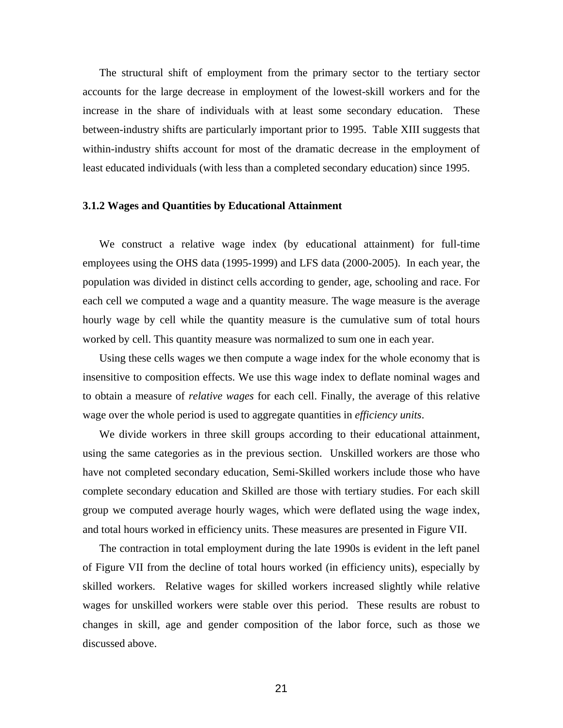The structural shift of employment from the primary sector to the tertiary sector accounts for the large decrease in employment of the lowest-skill workers and for the increase in the share of individuals with at least some secondary education. These between-industry shifts are particularly important prior to 1995. Table XIII suggests that within-industry shifts account for most of the dramatic decrease in the employment of least educated individuals (with less than a completed secondary education) since 1995.

#### **3.1.2 Wages and Quantities by Educational Attainment**

We construct a relative wage index (by educational attainment) for full-time employees using the OHS data (1995-1999) and LFS data (2000-2005). In each year, the population was divided in distinct cells according to gender, age, schooling and race. For each cell we computed a wage and a quantity measure. The wage measure is the average hourly wage by cell while the quantity measure is the cumulative sum of total hours worked by cell. This quantity measure was normalized to sum one in each year.

Using these cells wages we then compute a wage index for the whole economy that is insensitive to composition effects. We use this wage index to deflate nominal wages and to obtain a measure of *relative wages* for each cell. Finally, the average of this relative wage over the whole period is used to aggregate quantities in *efficiency units*.

We divide workers in three skill groups according to their educational attainment, using the same categories as in the previous section. Unskilled workers are those who have not completed secondary education, Semi-Skilled workers include those who have complete secondary education and Skilled are those with tertiary studies. For each skill group we computed average hourly wages, which were deflated using the wage index, and total hours worked in efficiency units. These measures are presented in Figure VII.

The contraction in total employment during the late 1990s is evident in the left panel of Figure VII from the decline of total hours worked (in efficiency units), especially by skilled workers. Relative wages for skilled workers increased slightly while relative wages for unskilled workers were stable over this period. These results are robust to changes in skill, age and gender composition of the labor force, such as those we discussed above.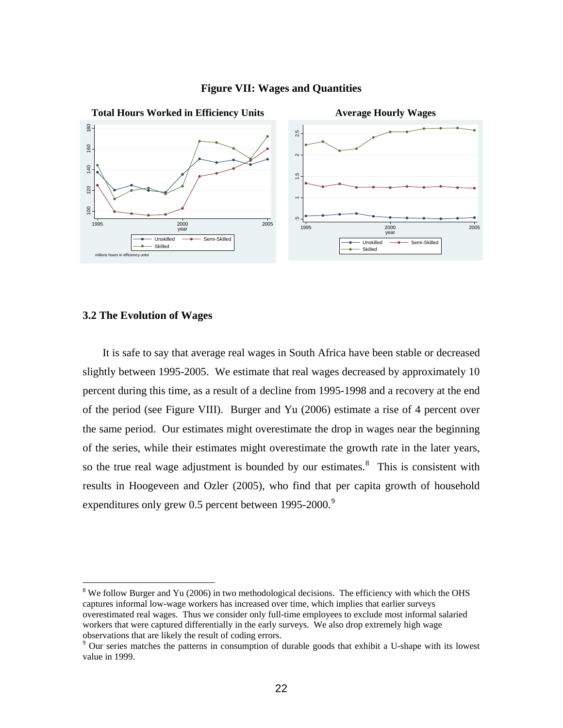

#### **Figure VII: Wages and Quantities**

## **3.2 The Evolution of Wages**

 $\overline{a}$ 

 It is safe to say that average real wages in South Africa have been stable or decreased slightly between 1995-2005. We estimate that real wages decreased by approximately 10 percent during this time, as a result of a decline from 1995-1998 and a recovery at the end of the period (see Figure VIII). Burger and Yu (2006) estimate a rise of 4 percent over the same period. Our estimates might overestimate the drop in wages near the beginning of the series, while their estimates might overestimate the growth rate in the later years, so the true real wage adjustment is bounded by our estimates. $8$  This is consistent with results in Hoogeveen and Ozler (2005), who find that per capita growth of household expenditures only grew 0.5 percent between  $1995-2000$  $1995-2000$  $1995-2000$ .<sup>9</sup>

<span id="page-22-0"></span> $8$  We follow Burger and Yu (2006) in two methodological decisions. The efficiency with which the OHS captures informal low-wage workers has increased over time, which implies that earlier surveys overestimated real wages. Thus we consider only full-time employees to exclude most informal salaried workers that were captured differentially in the early surveys. We also drop extremely high wage observations that are likely the result of coding errors. 9

<span id="page-22-1"></span><sup>&</sup>lt;sup>9</sup> Our series matches the patterns in consumption of durable goods that exhibit a U-shape with its lowest value in 1999.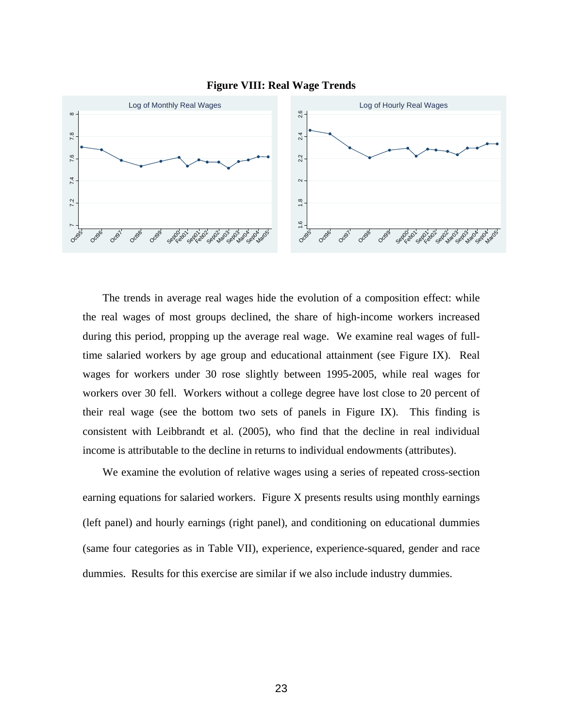



 The trends in average real wages hide the evolution of a composition effect: while the real wages of most groups declined, the share of high-income workers increased during this period, propping up the average real wage. We examine real wages of fulltime salaried workers by age group and educational attainment (see Figure IX). Real wages for workers under 30 rose slightly between 1995-2005, while real wages for workers over 30 fell. Workers without a college degree have lost close to 20 percent of their real wage (see the bottom two sets of panels in Figure IX). This finding is consistent with Leibbrandt et al. (2005), who find that the decline in real individual income is attributable to the decline in returns to individual endowments (attributes).

 We examine the evolution of relative wages using a series of repeated cross-section earning equations for salaried workers. Figure X presents results using monthly earnings (left panel) and hourly earnings (right panel), and conditioning on educational dummies (same four categories as in Table VII), experience, experience-squared, gender and race dummies. Results for this exercise are similar if we also include industry dummies.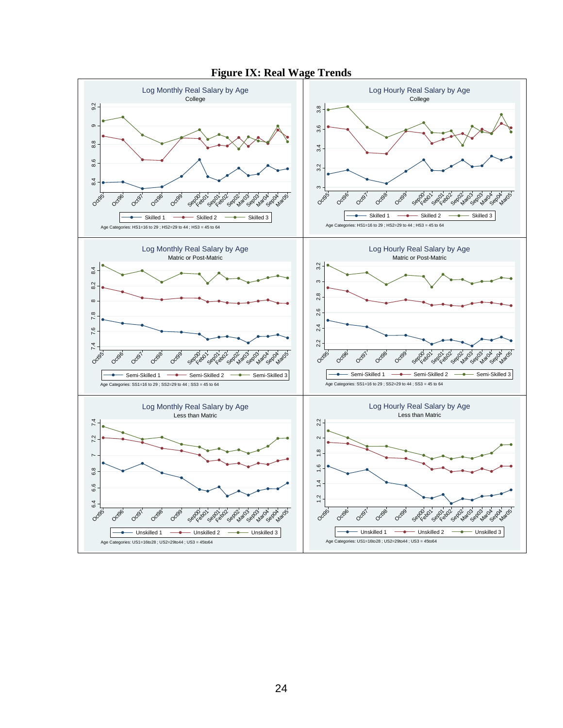

**Figure IX: Real Wage Trends**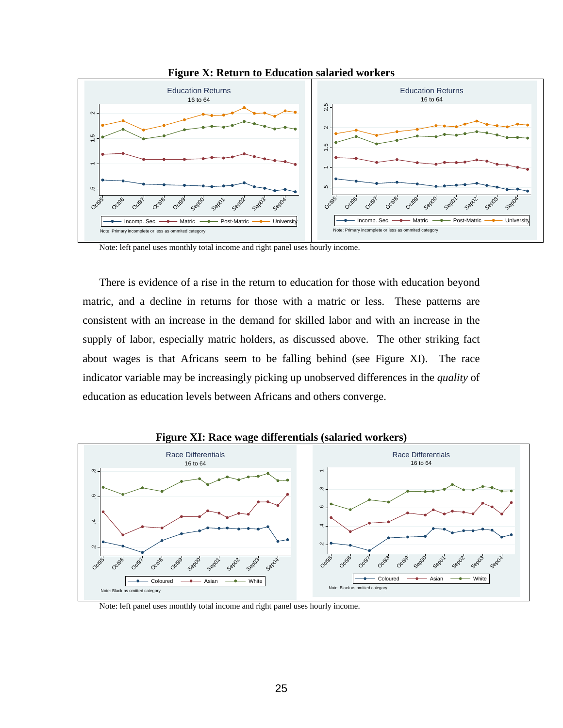

**Figure X: Return to Education salaried workers** 

Note: left panel uses monthly total income and right panel uses hourly income.

There is evidence of a rise in the return to education for those with education beyond matric, and a decline in returns for those with a matric or less. These patterns are consistent with an increase in the demand for skilled labor and with an increase in the supply of labor, especially matric holders, as discussed above. The other striking fact about wages is that Africans seem to be falling behind (see Figure XI). The race indicator variable may be increasingly picking up unobserved differences in the *quality* of education as education levels between Africans and others converge.



**Figure XI: Race wage differentials (salaried workers)** 

Note: left panel uses monthly total income and right panel uses hourly income.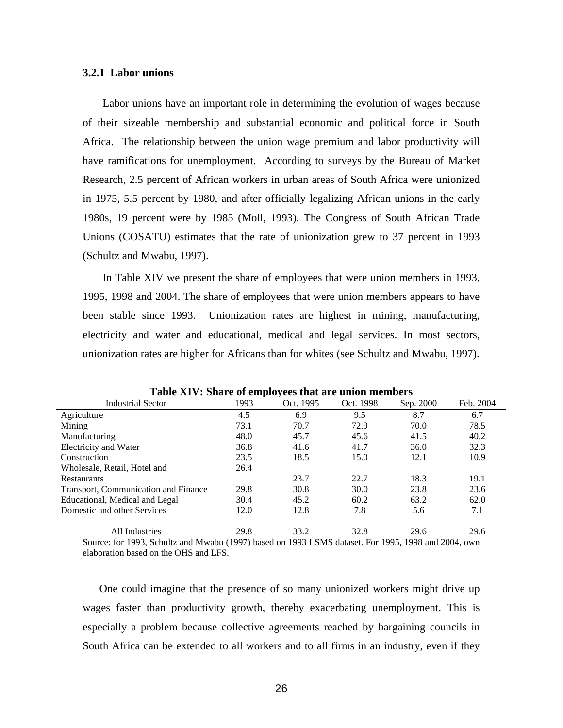## **3.2.1 Labor unions**

 Labor unions have an important role in determining the evolution of wages because of their sizeable membership and substantial economic and political force in South Africa. The relationship between the union wage premium and labor productivity will have ramifications for unemployment. According to surveys by the Bureau of Market Research, 2.5 percent of African workers in urban areas of South Africa were unionized in 1975, 5.5 percent by 1980, and after officially legalizing African unions in the early 1980s, 19 percent were by 1985 (Moll, 1993). The Congress of South African Trade Unions (COSATU) estimates that the rate of unionization grew to 37 percent in 1993 (Schultz and Mwabu, 1997).

 In Table XIV we present the share of employees that were union members in 1993, 1995, 1998 and 2004. The share of employees that were union members appears to have been stable since 1993. Unionization rates are highest in mining, manufacturing, electricity and water and educational, medical and legal services. In most sectors, unionization rates are higher for Africans than for whites (see Schultz and Mwabu, 1997).

| <b>Industrial Sector</b>                                                                                                                            | 1993 | Oct. 1995 | Oct. 1998 | Sep. 2000 | Feb. 2004 |
|-----------------------------------------------------------------------------------------------------------------------------------------------------|------|-----------|-----------|-----------|-----------|
| Agriculture                                                                                                                                         | 4.5  | 6.9       | 9.5       | 8.7       | 6.7       |
| Mining                                                                                                                                              | 73.1 | 70.7      | 72.9      | 70.0      | 78.5      |
| Manufacturing                                                                                                                                       | 48.0 | 45.7      | 45.6      | 41.5      | 40.2      |
| Electricity and Water                                                                                                                               | 36.8 | 41.6      | 41.7      | 36.0      | 32.3      |
| Construction                                                                                                                                        | 23.5 | 18.5      | 15.0      | 12.1      | 10.9      |
| Wholesale, Retail, Hotel and                                                                                                                        | 26.4 |           |           |           |           |
| <b>Restaurants</b>                                                                                                                                  |      | 23.7      | 22.7      | 18.3      | 19.1      |
| Transport, Communication and Finance                                                                                                                | 29.8 | 30.8      | 30.0      | 23.8      | 23.6      |
| Educational, Medical and Legal                                                                                                                      | 30.4 | 45.2      | 60.2      | 63.2      | 62.0      |
| Domestic and other Services                                                                                                                         | 12.0 | 12.8      | 7.8       | 5.6       | 7.1       |
| All Industries                                                                                                                                      | 29.8 | 33.2      | 32.8      | 29.6      | 29.6      |
| $\Omega_{\text{OM201}}$ for 1002, $\Omega_{\text{c}}$ with and Murchy (1007) heard on 1002 LCMC detect $\Gamma_{\text{C}}$ 1005, 1009 and 2004, our |      |           |           |           |           |

**Table XIV: Share of employees that are union members** 

Source: for 1993, Schultz and Mwabu (1997) based on 1993 LSMS dataset. For 1995, 1998 and 2004, own elaboration based on the OHS and LFS.

One could imagine that the presence of so many unionized workers might drive up wages faster than productivity growth, thereby exacerbating unemployment. This is especially a problem because collective agreements reached by bargaining councils in South Africa can be extended to all workers and to all firms in an industry, even if they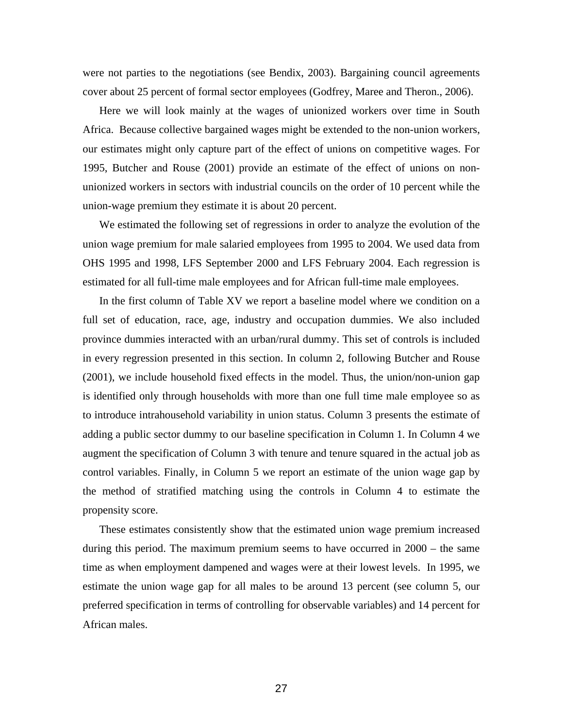were not parties to the negotiations (see Bendix, 2003). Bargaining council agreements cover about 25 percent of formal sector employees (Godfrey, Maree and Theron., 2006).

Here we will look mainly at the wages of unionized workers over time in South Africa. Because collective bargained wages might be extended to the non-union workers, our estimates might only capture part of the effect of unions on competitive wages. For 1995, Butcher and Rouse (2001) provide an estimate of the effect of unions on nonunionized workers in sectors with industrial councils on the order of 10 percent while the union-wage premium they estimate it is about 20 percent.

We estimated the following set of regressions in order to analyze the evolution of the union wage premium for male salaried employees from 1995 to 2004. We used data from OHS 1995 and 1998, LFS September 2000 and LFS February 2004. Each regression is estimated for all full-time male employees and for African full-time male employees.

In the first column of Table XV we report a baseline model where we condition on a full set of education, race, age, industry and occupation dummies. We also included province dummies interacted with an urban/rural dummy. This set of controls is included in every regression presented in this section. In column 2, following Butcher and Rouse (2001), we include household fixed effects in the model. Thus, the union/non-union gap is identified only through households with more than one full time male employee so as to introduce intrahousehold variability in union status. Column 3 presents the estimate of adding a public sector dummy to our baseline specification in Column 1. In Column 4 we augment the specification of Column 3 with tenure and tenure squared in the actual job as control variables. Finally, in Column 5 we report an estimate of the union wage gap by the method of stratified matching using the controls in Column 4 to estimate the propensity score.

These estimates consistently show that the estimated union wage premium increased during this period. The maximum premium seems to have occurred in 2000 – the same time as when employment dampened and wages were at their lowest levels. In 1995, we estimate the union wage gap for all males to be around 13 percent (see column 5, our preferred specification in terms of controlling for observable variables) and 14 percent for African males.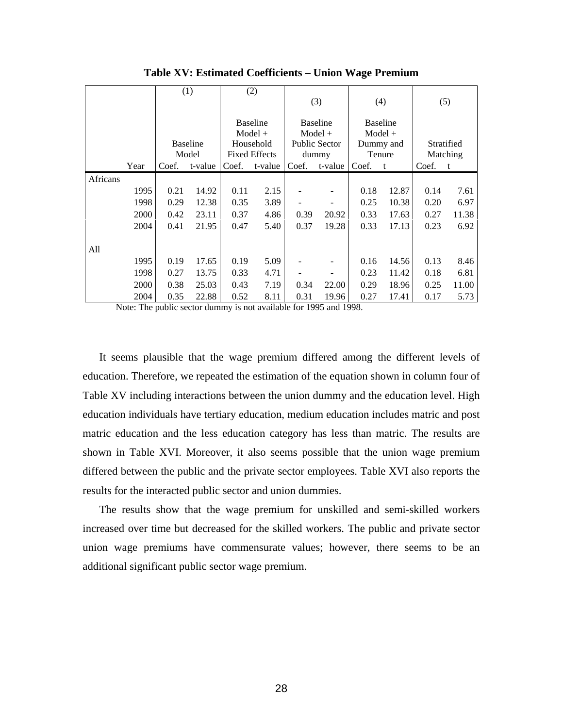|          |      |       | (1)             |       | (2)                  |       |                      |       |                 |       |            |
|----------|------|-------|-----------------|-------|----------------------|-------|----------------------|-------|-----------------|-------|------------|
|          |      |       |                 |       |                      |       | (3)                  |       | (4)             |       | (5)        |
|          |      |       |                 |       | <b>Baseline</b>      |       | <b>Baseline</b>      |       | <b>Baseline</b> |       |            |
|          |      |       |                 |       | $Model +$            |       | $Model +$            |       | $Model +$       |       |            |
|          |      |       | <b>Baseline</b> |       | Household            |       | <b>Public Sector</b> |       | Dummy and       |       | Stratified |
|          |      |       | Model           |       | <b>Fixed Effects</b> |       | dummy                |       | Tenure          |       | Matching   |
|          | Year | Coef. | t-value         | Coef. | t-value              | Coef. | t-value              | Coef. | t               | Coef. | t          |
| Africans |      |       |                 |       |                      |       |                      |       |                 |       |            |
|          | 1995 | 0.21  | 14.92           | 0.11  | 2.15                 |       |                      | 0.18  | 12.87           | 0.14  | 7.61       |
|          | 1998 | 0.29  | 12.38           | 0.35  | 3.89                 |       |                      | 0.25  | 10.38           | 0.20  | 6.97       |
|          | 2000 | 0.42  | 23.11           | 0.37  | 4.86                 | 0.39  | 20.92                | 0.33  | 17.63           | 0.27  | 11.38      |
|          | 2004 | 0.41  | 21.95           | 0.47  | 5.40                 | 0.37  | 19.28                | 0.33  | 17.13           | 0.23  | 6.92       |
|          |      |       |                 |       |                      |       |                      |       |                 |       |            |
| All      |      |       |                 |       |                      |       |                      |       |                 |       |            |
|          | 1995 | 0.19  | 17.65           | 0.19  | 5.09                 |       |                      | 0.16  | 14.56           | 0.13  | 8.46       |
|          | 1998 | 0.27  | 13.75           | 0.33  | 4.71                 |       |                      | 0.23  | 11.42           | 0.18  | 6.81       |
|          | 2000 | 0.38  | 25.03           | 0.43  | 7.19                 | 0.34  | 22.00                | 0.29  | 18.96           | 0.25  | 11.00      |
|          | 2004 | 0.35  | 22.88           | 0.52  | 8.11                 | 0.31  | 19.96                | 0.27  | 17.41           | 0.17  | 5.73       |

**Table XV: Estimated Coefficients – Union Wage Premium** 

Note: The public sector dummy is not available for 1995 and 1998.

It seems plausible that the wage premium differed among the different levels of education. Therefore, we repeated the estimation of the equation shown in column four of Table XV including interactions between the union dummy and the education level. High education individuals have tertiary education, medium education includes matric and post matric education and the less education category has less than matric. The results are shown in Table XVI. Moreover, it also seems possible that the union wage premium differed between the public and the private sector employees. Table XVI also reports the results for the interacted public sector and union dummies.

The results show that the wage premium for unskilled and semi-skilled workers increased over time but decreased for the skilled workers. The public and private sector union wage premiums have commensurate values; however, there seems to be an additional significant public sector wage premium.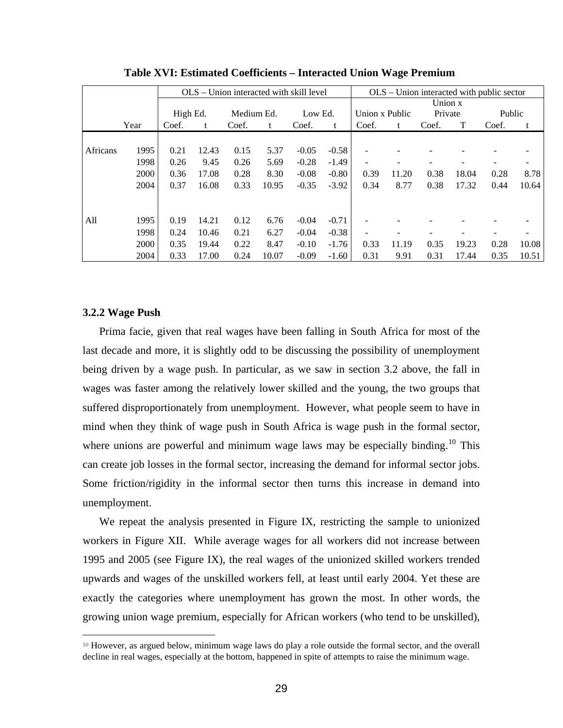|          |      | OLS – Union interacted with skill level |       |            |       |         | $OLS$ – Union interacted with public sector |                |       |         |       |        |       |
|----------|------|-----------------------------------------|-------|------------|-------|---------|---------------------------------------------|----------------|-------|---------|-------|--------|-------|
|          |      |                                         |       |            |       |         |                                             | Union x        |       |         |       |        |       |
|          |      | High Ed.                                |       | Medium Ed. |       | Low Ed. |                                             | Union x Public |       | Private |       | Public |       |
|          | Year | Coef.                                   | t     | Coef.      | t     | Coef.   | t                                           | Coef.          | t     | Coef.   | T     | Coef.  | t     |
|          |      |                                         |       |            |       |         |                                             |                |       |         |       |        |       |
| Africans | 1995 | 0.21                                    | 12.43 | 0.15       | 5.37  | $-0.05$ | $-0.58$                                     |                |       |         |       |        |       |
|          | 1998 | 0.26                                    | 9.45  | 0.26       | 5.69  | $-0.28$ | $-1.49$                                     |                |       |         |       |        |       |
|          | 2000 | 0.36                                    | 17.08 | 0.28       | 8.30  | $-0.08$ | $-0.80$                                     | 0.39           | 11.20 | 0.38    | 18.04 | 0.28   | 8.78  |
|          | 2004 | 0.37                                    | 16.08 | 0.33       | 10.95 | $-0.35$ | $-3.92$                                     | 0.34           | 8.77  | 0.38    | 17.32 | 0.44   | 10.64 |
|          |      |                                         |       |            |       |         |                                             |                |       |         |       |        |       |
|          |      |                                         |       |            |       |         |                                             |                |       |         |       |        |       |
| All      | 1995 | 0.19                                    | 14.21 | 0.12       | 6.76  | $-0.04$ | $-0.71$                                     |                |       |         |       |        |       |
|          | 1998 | 0.24                                    | 10.46 | 0.21       | 6.27  | $-0.04$ | $-0.38$                                     |                |       |         |       |        |       |
|          | 2000 | 0.35                                    | 19.44 | 0.22       | 8.47  | $-0.10$ | $-1.76$                                     | 0.33           | 11.19 | 0.35    | 19.23 | 0.28   | 10.08 |
|          | 2004 | 0.33                                    | 17.00 | 0.24       | 10.07 | $-0.09$ | $-1.60$                                     | 0.31           | 9.91  | 0.31    | 17.44 | 0.35   | 10.51 |

**Table XVI: Estimated Coefficients – Interacted Union Wage Premium**

## **3.2.2 Wage Push**

1

Prima facie, given that real wages have been falling in South Africa for most of the last decade and more, it is slightly odd to be discussing the possibility of unemployment being driven by a wage push. In particular, as we saw in section 3.2 above, the fall in wages was faster among the relatively lower skilled and the young, the two groups that suffered disproportionately from unemployment. However, what people seem to have in mind when they think of wage push in South Africa is wage push in the formal sector, where unions are powerful and minimum wage laws may be especially binding.<sup>[10](#page-29-0)</sup> This can create job losses in the formal sector, increasing the demand for informal sector jobs. Some friction/rigidity in the informal sector then turns this increase in demand into unemployment.

We repeat the analysis presented in Figure IX, restricting the sample to unionized workers in Figure XII. While average wages for all workers did not increase between 1995 and 2005 (see Figure IX), the real wages of the unionized skilled workers trended upwards and wages of the unskilled workers fell, at least until early 2004. Yet these are exactly the categories where unemployment has grown the most. In other words, the growing union wage premium, especially for African workers (who tend to be unskilled),

<span id="page-29-0"></span><sup>10</sup> However, as argued below, minimum wage laws do play a role outside the formal sector, and the overall decline in real wages, especially at the bottom, happened in spite of attempts to raise the minimum wage.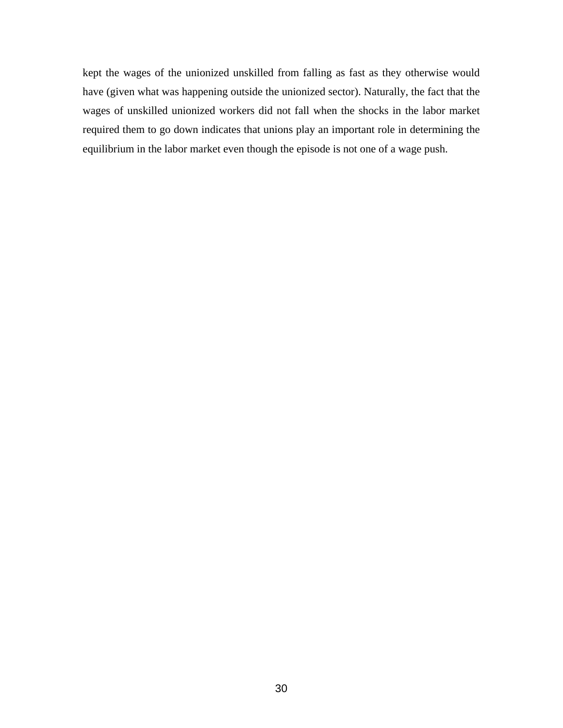kept the wages of the unionized unskilled from falling as fast as they otherwise would have (given what was happening outside the unionized sector). Naturally, the fact that the wages of unskilled unionized workers did not fall when the shocks in the labor market required them to go down indicates that unions play an important role in determining the equilibrium in the labor market even though the episode is not one of a wage push.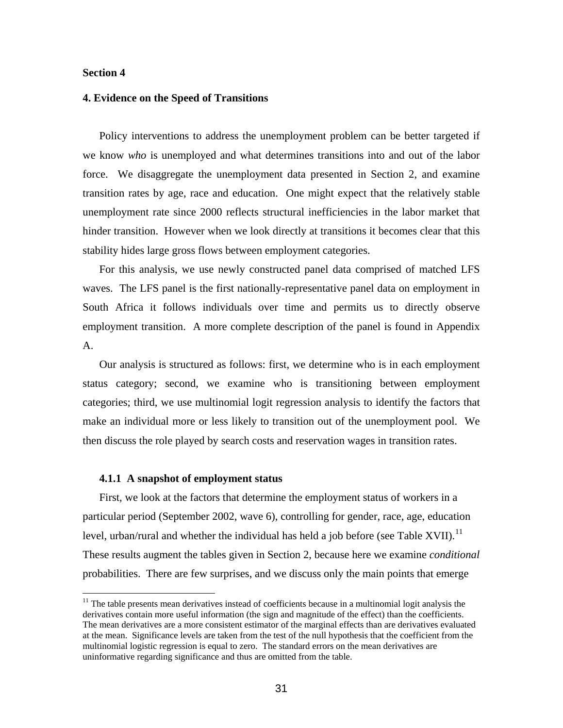#### **Section 4**

1

#### **4. Evidence on the Speed of Transitions**

Policy interventions to address the unemployment problem can be better targeted if we know *who* is unemployed and what determines transitions into and out of the labor force. We disaggregate the unemployment data presented in Section 2, and examine transition rates by age, race and education. One might expect that the relatively stable unemployment rate since 2000 reflects structural inefficiencies in the labor market that hinder transition. However when we look directly at transitions it becomes clear that this stability hides large gross flows between employment categories.

For this analysis, we use newly constructed panel data comprised of matched LFS waves. The LFS panel is the first nationally-representative panel data on employment in South Africa it follows individuals over time and permits us to directly observe employment transition. A more complete description of the panel is found in Appendix A.

Our analysis is structured as follows: first, we determine who is in each employment status category; second, we examine who is transitioning between employment categories; third, we use multinomial logit regression analysis to identify the factors that make an individual more or less likely to transition out of the unemployment pool. We then discuss the role played by search costs and reservation wages in transition rates.

#### **4.1.1 A snapshot of employment status**

First, we look at the factors that determine the employment status of workers in a particular period (September 2002, wave 6), controlling for gender, race, age, education level, urban/rural and whether the individual has held a job before (see Table XVII).<sup>[11](#page-31-0)</sup> These results augment the tables given in Section 2, because here we examine *conditional* probabilities. There are few surprises, and we discuss only the main points that emerge

<span id="page-31-0"></span> $11$  The table presents mean derivatives instead of coefficients because in a multinomial logit analysis the derivatives contain more useful information (the sign and magnitude of the effect) than the coefficients. The mean derivatives are a more consistent estimator of the marginal effects than are derivatives evaluated at the mean. Significance levels are taken from the test of the null hypothesis that the coefficient from the multinomial logistic regression is equal to zero. The standard errors on the mean derivatives are uninformative regarding significance and thus are omitted from the table.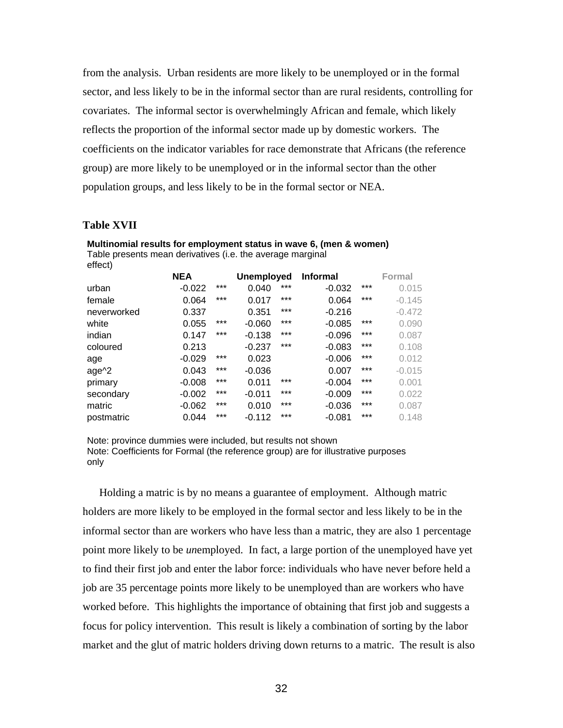from the analysis. Urban residents are more likely to be unemployed or in the formal sector, and less likely to be in the informal sector than are rural residents, controlling for covariates. The informal sector is overwhelmingly African and female, which likely reflects the proportion of the informal sector made up by domestic workers. The coefficients on the indicator variables for race demonstrate that Africans (the reference group) are more likely to be unemployed or in the informal sector than the other population groups, and less likely to be in the formal sector or NEA.

#### **Table XVII**

| Table presents mean derivatives (i.e. the average marginal |            |       |                   |       |                 |     |          |
|------------------------------------------------------------|------------|-------|-------------------|-------|-----------------|-----|----------|
| effect)                                                    |            |       |                   |       |                 |     |          |
|                                                            | <b>NEA</b> |       | <b>Unemployed</b> |       | <b>Informal</b> |     | Formal   |
| urban                                                      | $-0.022$   | $***$ | 0.040             | $***$ | $-0.032$        | *** | 0.015    |
| female                                                     | 0.064      | ***   | 0.017             | $***$ | 0.064           | *** | $-0.145$ |
| neverworked                                                | 0.337      |       | 0.351             | $***$ | $-0.216$        |     | $-0.472$ |
| white                                                      | 0.055      | ***   | $-0.060$          | ***   | $-0.085$        | *** | 0.090    |
| indian                                                     | 0.147      | ***   | $-0.138$          | $***$ | $-0.096$        | *** | 0.087    |
| coloured                                                   | 0.213      |       | $-0.237$          | ***   | $-0.083$        | *** | 0.108    |
| age                                                        | $-0.029$   | ***   | 0.023             |       | $-0.006$        | *** | 0.012    |
| age <sup>^2</sup>                                          | 0.043      | ***   | $-0.036$          |       | 0.007           | *** | $-0.015$ |
| primary                                                    | $-0.008$   | ***   | 0.011             | ***   | $-0.004$        | *** | 0.001    |
| secondary                                                  | $-0.002$   | ***   | $-0.011$          | ***   | $-0.009$        | *** | 0.022    |
| matric                                                     | $-0.062$   | ***   | 0.010             | $***$ | $-0.036$        | *** | 0.087    |
| postmatric                                                 | 0.044      | $***$ | $-0.112$          | ***   | $-0.081$        | *** | 0.148    |

**Multinomial results for employment status in wave 6, (men & women)** 

Note: province dummies were included, but results not shown Note: Coefficients for Formal (the reference group) are for illustrative purposes only

Holding a matric is by no means a guarantee of employment. Although matric holders are more likely to be employed in the formal sector and less likely to be in the informal sector than are workers who have less than a matric, they are also 1 percentage point more likely to be *un*employed. In fact, a large portion of the unemployed have yet to find their first job and enter the labor force: individuals who have never before held a job are 35 percentage points more likely to be unemployed than are workers who have worked before. This highlights the importance of obtaining that first job and suggests a focus for policy intervention. This result is likely a combination of sorting by the labor market and the glut of matric holders driving down returns to a matric. The result is also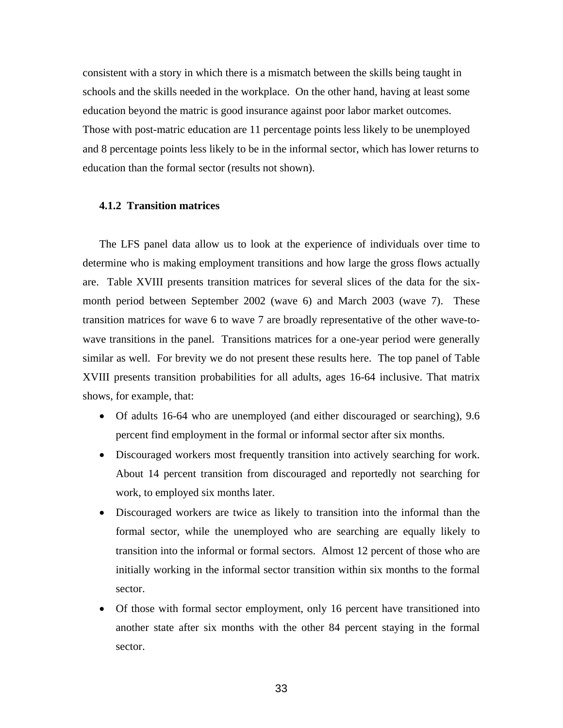consistent with a story in which there is a mismatch between the skills being taught in schools and the skills needed in the workplace. On the other hand, having at least some education beyond the matric is good insurance against poor labor market outcomes. Those with post-matric education are 11 percentage points less likely to be unemployed and 8 percentage points less likely to be in the informal sector, which has lower returns to education than the formal sector (results not shown).

## **4.1.2 Transition matrices**

The LFS panel data allow us to look at the experience of individuals over time to determine who is making employment transitions and how large the gross flows actually are. Table XVIII presents transition matrices for several slices of the data for the sixmonth period between September 2002 (wave 6) and March 2003 (wave 7). These transition matrices for wave 6 to wave 7 are broadly representative of the other wave-towave transitions in the panel. Transitions matrices for a one-year period were generally similar as well. For brevity we do not present these results here. The top panel of Table XVIII presents transition probabilities for all adults, ages 16-64 inclusive. That matrix shows, for example, that:

- Of adults 16-64 who are unemployed (and either discouraged or searching), 9.6 percent find employment in the formal or informal sector after six months.
- Discouraged workers most frequently transition into actively searching for work. About 14 percent transition from discouraged and reportedly not searching for work, to employed six months later.
- Discouraged workers are twice as likely to transition into the informal than the formal sector, while the unemployed who are searching are equally likely to transition into the informal or formal sectors. Almost 12 percent of those who are initially working in the informal sector transition within six months to the formal sector.
- Of those with formal sector employment, only 16 percent have transitioned into another state after six months with the other 84 percent staying in the formal sector.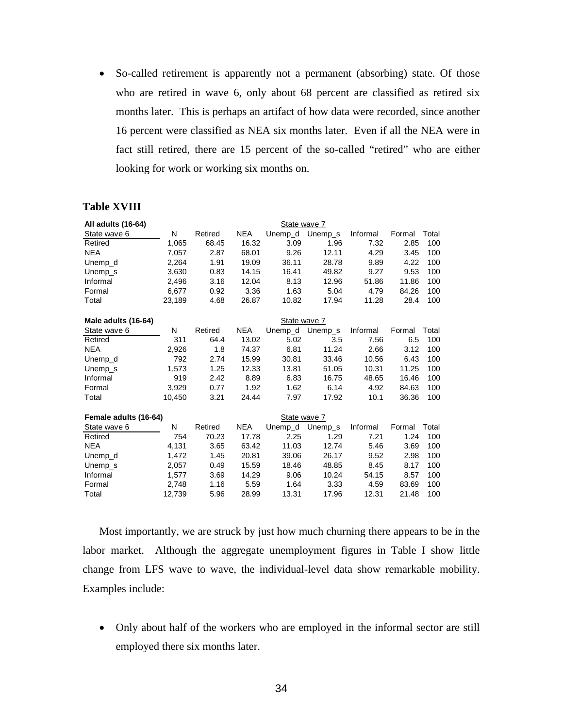• So-called retirement is apparently not a permanent (absorbing) state. Of those who are retired in wave 6, only about 68 percent are classified as retired six months later. This is perhaps an artifact of how data were recorded, since another 16 percent were classified as NEA six months later. Even if all the NEA were in fact still retired, there are 15 percent of the so-called "retired" who are either looking for work or working six months on.

## **Table XVIII**

| All adults (16-64)    |        |         |            | State wave 7 |         |          |        |       |
|-----------------------|--------|---------|------------|--------------|---------|----------|--------|-------|
| State wave 6          | N      | Retired | <b>NEA</b> | Unemp_d      | Unemp_s | Informal | Formal | Total |
| Retired               | 1,065  | 68.45   | 16.32      | 3.09         | 1.96    | 7.32     | 2.85   | 100   |
| <b>NEA</b>            | 7,057  | 2.87    | 68.01      | 9.26         | 12.11   | 4.29     | 3.45   | 100   |
| Unemp_d               | 2,264  | 1.91    | 19.09      | 36.11        | 28.78   | 9.89     | 4.22   | 100   |
| Unemp s               | 3,630  | 0.83    | 14.15      | 16.41        | 49.82   | 9.27     | 9.53   | 100   |
| Informal              | 2,496  | 3.16    | 12.04      | 8.13         | 12.96   | 51.86    | 11.86  | 100   |
| Formal                | 6,677  | 0.92    | 3.36       | 1.63         | 5.04    | 4.79     | 84.26  | 100   |
| Total                 | 23,189 | 4.68    | 26.87      | 10.82        | 17.94   | 11.28    | 28.4   | 100   |
| Male adults (16-64)   |        |         |            | State wave 7 |         |          |        |       |
| State wave 6          | N      | Retired | <b>NEA</b> | Unemp_d      | Unemp_s | Informal | Formal | Total |
| Retired               | 311    | 64.4    | 13.02      | 5.02         | 3.5     | 7.56     | 6.5    | 100   |
| <b>NEA</b>            | 2,926  | 1.8     | 74.37      | 6.81         | 11.24   | 2.66     | 3.12   | 100   |
| Unemp_d               | 792    | 2.74    | 15.99      | 30.81        | 33.46   | 10.56    | 6.43   | 100   |
| Unemp s               | 1,573  | 1.25    | 12.33      | 13.81        | 51.05   | 10.31    | 11.25  | 100   |
| Informal              | 919    | 2.42    | 8.89       | 6.83         | 16.75   | 48.65    | 16.46  | 100   |
| Formal                | 3,929  | 0.77    | 1.92       | 1.62         | 6.14    | 4.92     | 84.63  | 100   |
| Total                 | 10.450 | 3.21    | 24.44      | 7.97         | 17.92   | 10.1     | 36.36  | 100   |
| Female adults (16-64) |        |         |            | State wave 7 |         |          |        |       |
| State wave 6          | N      | Retired | <b>NEA</b> | Unemp_d      | Unemp_s | Informal | Formal | Total |
| Retired               | 754    | 70.23   | 17.78      | 2.25         | 1.29    | 7.21     | 1.24   | 100   |
| <b>NEA</b>            | 4,131  | 3.65    | 63.42      | 11.03        | 12.74   | 5.46     | 3.69   | 100   |
| Unemp_d               | 1,472  | 1.45    | 20.81      | 39.06        | 26.17   | 9.52     | 2.98   | 100   |
| Unemp_s               | 2,057  | 0.49    | 15.59      | 18.46        | 48.85   | 8.45     | 8.17   | 100   |
| Informal              | 1,577  | 3.69    | 14.29      | 9.06         | 10.24   | 54.15    | 8.57   | 100   |
| Formal                | 2,748  | 1.16    | 5.59       | 1.64         | 3.33    | 4.59     | 83.69  | 100   |
| Total                 | 12.739 | 5.96    | 28.99      | 13.31        | 17.96   | 12.31    | 21.48  | 100   |

Most importantly, we are struck by just how much churning there appears to be in the labor market. Although the aggregate unemployment figures in Table I show little change from LFS wave to wave, the individual-level data show remarkable mobility. Examples include:

• Only about half of the workers who are employed in the informal sector are still employed there six months later.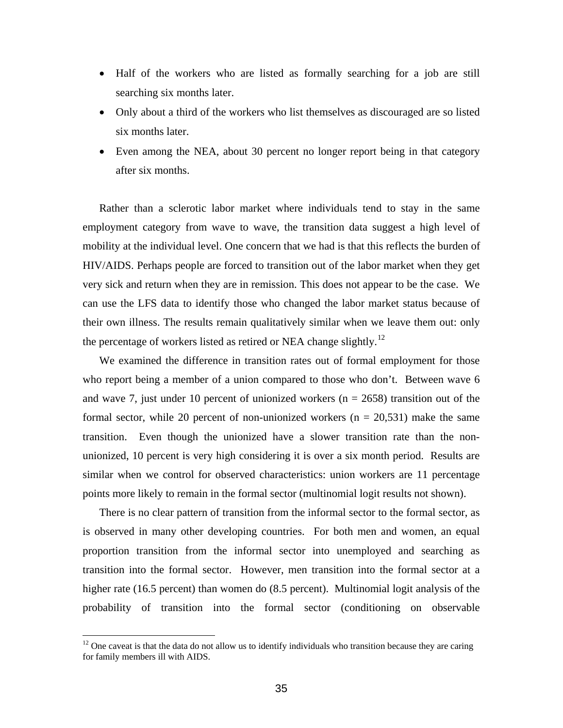- Half of the workers who are listed as formally searching for a job are still searching six months later.
- Only about a third of the workers who list themselves as discouraged are so listed six months later.
- Even among the NEA, about 30 percent no longer report being in that category after six months.

Rather than a sclerotic labor market where individuals tend to stay in the same employment category from wave to wave, the transition data suggest a high level of mobility at the individual level. One concern that we had is that this reflects the burden of HIV/AIDS. Perhaps people are forced to transition out of the labor market when they get very sick and return when they are in remission. This does not appear to be the case. We can use the LFS data to identify those who changed the labor market status because of their own illness. The results remain qualitatively similar when we leave them out: only the percentage of workers listed as retired or NEA change slightly.<sup>[12](#page-35-0)</sup>

We examined the difference in transition rates out of formal employment for those who report being a member of a union compared to those who don't. Between wave 6 and wave 7, just under 10 percent of unionized workers ( $n = 2658$ ) transition out of the formal sector, while 20 percent of non-unionized workers  $(n = 20,531)$  make the same transition. Even though the unionized have a slower transition rate than the nonunionized, 10 percent is very high considering it is over a six month period. Results are similar when we control for observed characteristics: union workers are 11 percentage points more likely to remain in the formal sector (multinomial logit results not shown).

There is no clear pattern of transition from the informal sector to the formal sector, as is observed in many other developing countries. For both men and women, an equal proportion transition from the informal sector into unemployed and searching as transition into the formal sector. However, men transition into the formal sector at a higher rate (16.5 percent) than women do (8.5 percent). Multinomial logit analysis of the probability of transition into the formal sector (conditioning on observable

 $\overline{a}$ 

<span id="page-35-0"></span><sup>&</sup>lt;sup>12</sup> One caveat is that the data do not allow us to identify individuals who transition because they are caring for family members ill with AIDS.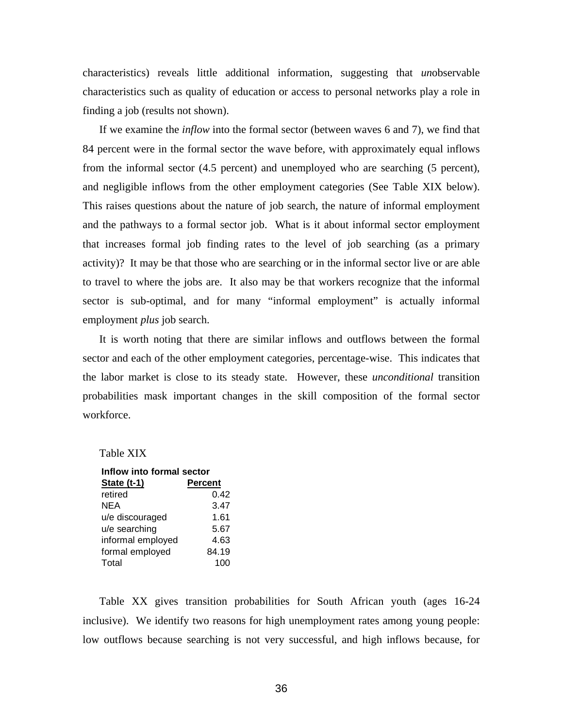characteristics) reveals little additional information, suggesting that *un*observable characteristics such as quality of education or access to personal networks play a role in finding a job (results not shown).

If we examine the *inflow* into the formal sector (between waves 6 and 7), we find that 84 percent were in the formal sector the wave before, with approximately equal inflows from the informal sector (4.5 percent) and unemployed who are searching (5 percent), and negligible inflows from the other employment categories (See Table XIX below). This raises questions about the nature of job search, the nature of informal employment and the pathways to a formal sector job. What is it about informal sector employment that increases formal job finding rates to the level of job searching (as a primary activity)? It may be that those who are searching or in the informal sector live or are able to travel to where the jobs are. It also may be that workers recognize that the informal sector is sub-optimal, and for many "informal employment" is actually informal employment *plus* job search.

It is worth noting that there are similar inflows and outflows between the formal sector and each of the other employment categories, percentage-wise. This indicates that the labor market is close to its steady state. However, these *unconditional* transition probabilities mask important changes in the skill composition of the formal sector workforce.

#### Table XIX

| Inflow into formal sector |                |
|---------------------------|----------------|
| <u>State (t-1)</u>        | <b>Percent</b> |
| retired                   | 0.42           |
| NEA                       | 3.47           |
| u/e discouraged           | 1.61           |
| u/e searching             | 5.67           |
| informal employed         | 4.63           |
| formal employed           | 84.19          |
| Total                     | 100            |

Table XX gives transition probabilities for South African youth (ages 16-24 inclusive). We identify two reasons for high unemployment rates among young people: low outflows because searching is not very successful, and high inflows because, for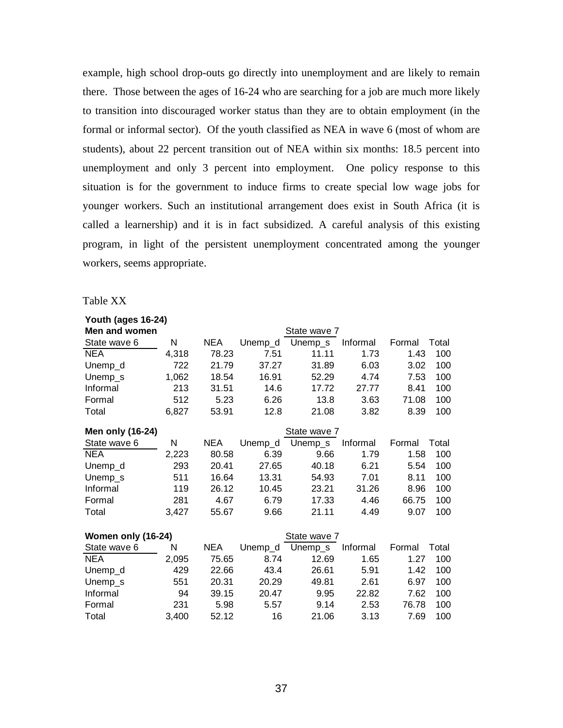example, high school drop-outs go directly into unemployment and are likely to remain there. Those between the ages of 16-24 who are searching for a job are much more likely to transition into discouraged worker status than they are to obtain employment (in the formal or informal sector). Of the youth classified as NEA in wave 6 (most of whom are students), about 22 percent transition out of NEA within six months: 18.5 percent into unemployment and only 3 percent into employment. One policy response to this situation is for the government to induce firms to create special low wage jobs for younger workers. Such an institutional arrangement does exist in South Africa (it is called a learnership) and it is in fact subsidized. A careful analysis of this existing program, in light of the persistent unemployment concentrated among the younger workers, seems appropriate.

Table XX

| Youth (ages 16-24) |       |            |         |              |          |        |       |
|--------------------|-------|------------|---------|--------------|----------|--------|-------|
| Men and women      |       |            |         | State wave 7 |          |        |       |
| State wave 6       | N     | <b>NEA</b> | Unemp_d | Unemp_s      | Informal | Formal | Total |
| <b>NEA</b>         | 4,318 | 78.23      | 7.51    | 11.11        | 1.73     | 1.43   | 100   |
| Unemp_d            | 722   | 21.79      | 37.27   | 31.89        | 6.03     | 3.02   | 100   |
| Unemp_s            | 1,062 | 18.54      | 16.91   | 52.29        | 4.74     | 7.53   | 100   |
| Informal           | 213   | 31.51      | 14.6    | 17.72        | 27.77    | 8.41   | 100   |
| Formal             | 512   | 5.23       | 6.26    | 13.8         | 3.63     | 71.08  | 100   |
| Total              | 6,827 | 53.91      | 12.8    | 21.08        | 3.82     | 8.39   | 100   |
| Men only (16-24)   |       |            |         | State wave 7 |          |        |       |
| State wave 6       | N     | <b>NEA</b> | Unemp_d | Unemp_s      | Informal | Formal | Total |
| <b>NEA</b>         | 2,223 | 80.58      | 6.39    | 9.66         | 1.79     | 1.58   | 100   |
| Unemp_d            | 293   | 20.41      | 27.65   | 40.18        | 6.21     | 5.54   | 100   |
| Unemp_s            | 511   | 16.64      | 13.31   | 54.93        | 7.01     | 8.11   | 100   |
| Informal           | 119   | 26.12      | 10.45   | 23.21        | 31.26    | 8.96   | 100   |
| Formal             | 281   | 4.67       | 6.79    | 17.33        | 4.46     | 66.75  | 100   |
| Total              | 3,427 | 55.67      | 9.66    | 21.11        | 4.49     | 9.07   | 100   |
| Women only (16-24) |       |            |         | State wave 7 |          |        |       |
| State wave 6       | N     | <b>NEA</b> | Unemp_d | Unemp_s      | Informal | Formal | Total |
| <b>NEA</b>         | 2,095 | 75.65      | 8.74    | 12.69        | 1.65     | 1.27   | 100   |
| Unemp_d            | 429   | 22.66      | 43.4    | 26.61        | 5.91     | 1.42   | 100   |
| Unemp_s            | 551   | 20.31      | 20.29   | 49.81        | 2.61     | 6.97   | 100   |
| Informal           | 94    | 39.15      | 20.47   | 9.95         | 22.82    | 7.62   | 100   |
| Formal             | 231   | 5.98       | 5.57    | 9.14         | 2.53     | 76.78  | 100   |
| Total              | 3,400 | 52.12      | 16      | 21.06        | 3.13     | 7.69   | 100   |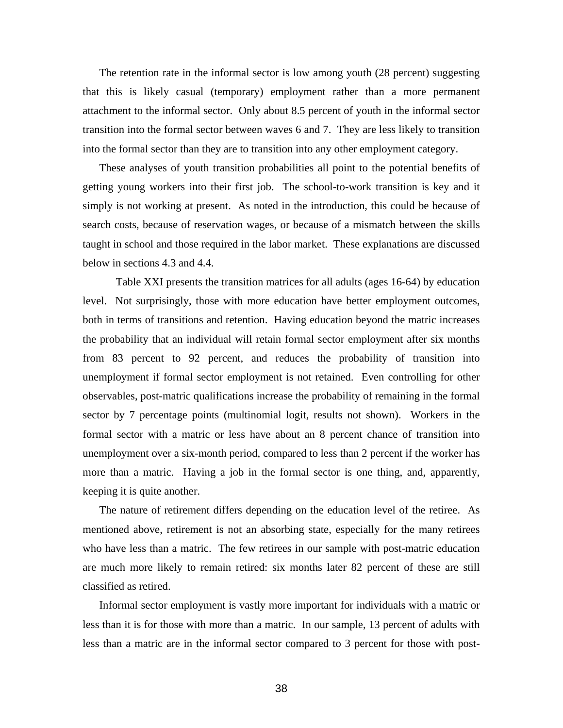The retention rate in the informal sector is low among youth (28 percent) suggesting that this is likely casual (temporary) employment rather than a more permanent attachment to the informal sector. Only about 8.5 percent of youth in the informal sector transition into the formal sector between waves 6 and 7. They are less likely to transition into the formal sector than they are to transition into any other employment category.

These analyses of youth transition probabilities all point to the potential benefits of getting young workers into their first job. The school-to-work transition is key and it simply is not working at present. As noted in the introduction, this could be because of search costs, because of reservation wages, or because of a mismatch between the skills taught in school and those required in the labor market. These explanations are discussed below in sections 4.3 and 4.4.

 Table XXI presents the transition matrices for all adults (ages 16-64) by education level. Not surprisingly, those with more education have better employment outcomes, both in terms of transitions and retention. Having education beyond the matric increases the probability that an individual will retain formal sector employment after six months from 83 percent to 92 percent, and reduces the probability of transition into unemployment if formal sector employment is not retained. Even controlling for other observables, post-matric qualifications increase the probability of remaining in the formal sector by 7 percentage points (multinomial logit, results not shown). Workers in the formal sector with a matric or less have about an 8 percent chance of transition into unemployment over a six-month period, compared to less than 2 percent if the worker has more than a matric. Having a job in the formal sector is one thing, and, apparently, keeping it is quite another.

The nature of retirement differs depending on the education level of the retiree. As mentioned above, retirement is not an absorbing state, especially for the many retirees who have less than a matric. The few retirees in our sample with post-matric education are much more likely to remain retired: six months later 82 percent of these are still classified as retired.

Informal sector employment is vastly more important for individuals with a matric or less than it is for those with more than a matric. In our sample, 13 percent of adults with less than a matric are in the informal sector compared to 3 percent for those with post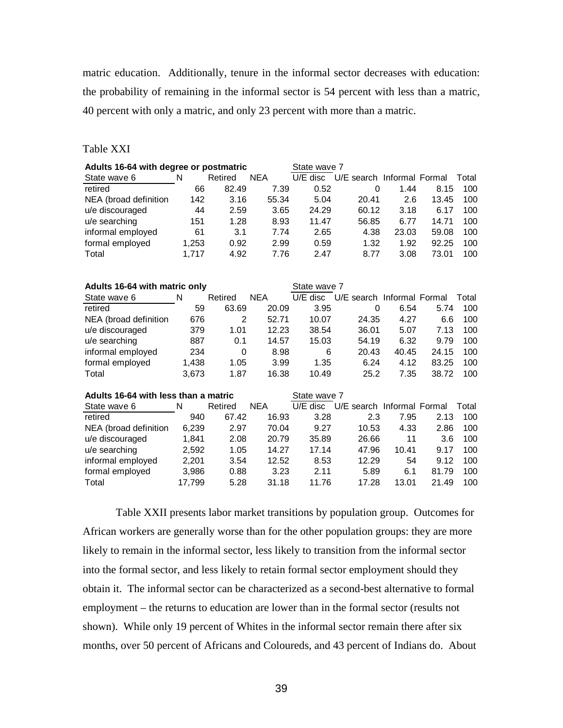matric education. Additionally, tenure in the informal sector decreases with education: the probability of remaining in the informal sector is 54 percent with less than a matric, 40 percent with only a matric, and only 23 percent with more than a matric.

## Table XXI

| Adults 16-64 with degree or postmatric |        |             |            | State wave 7 |                                     |       |       |       |
|----------------------------------------|--------|-------------|------------|--------------|-------------------------------------|-------|-------|-------|
| State wave 6                           | N      | Retired     | <b>NEA</b> |              | U/E disc U/E search Informal Formal |       |       | Total |
| retired                                | 66     | 82.49       | 7.39       | 0.52         | $\mathbf 0$                         | 1.44  | 8.15  | 100   |
| NEA (broad definition                  | 142    | 3.16        | 55.34      | 5.04         | 20.41                               | 2.6   | 13.45 | 100   |
| u/e discouraged                        | 44     | 2.59        | 3.65       | 24.29        | 60.12                               | 3.18  | 6.17  | 100   |
| u/e searching                          | 151    | 1.28        | 8.93       | 11.47        | 56.85                               | 6.77  | 14.71 | 100   |
| informal employed                      | 61     | 3.1         | 7.74       | 2.65         | 4.38                                | 23.03 | 59.08 | 100   |
| formal employed                        | 1,253  | 0.92        | 2.99       | 0.59         | 1.32                                | 1.92  | 92.25 | 100   |
| Total                                  | 1,717  | 4.92        | 7.76       | 2.47         | 8.77                                | 3.08  | 73.01 | 100   |
|                                        |        |             |            |              |                                     |       |       |       |
|                                        |        |             |            |              |                                     |       |       |       |
| Adults 16-64 with matric only          |        |             |            | State wave 7 |                                     |       |       |       |
| State wave 6                           | N      | Retired     | <b>NEA</b> | $U/E$ disc   | U/E search Informal Formal          |       |       | Total |
| retired                                | 59     | 63.69       | 20.09      | 3.95         | 0                                   | 6.54  | 5.74  | 100   |
| NEA (broad definition                  | 676    | 2           | 52.71      | 10.07        | 24.35                               | 4.27  | 6.6   | 100   |
| u/e discouraged                        | 379    | 1.01        | 12.23      | 38.54        | 36.01                               | 5.07  | 7.13  | 100   |
| u/e searching                          | 887    | 0.1         | 14.57      | 15.03        | 54.19                               | 6.32  | 9.79  | 100   |
| informal employed                      | 234    | $\mathbf 0$ | 8.98       | 6            | 20.43                               | 40.45 | 24.15 | 100   |
| formal employed                        | 1,438  | 1.05        | 3.99       | 1.35         | 6.24                                | 4.12  | 83.25 | 100   |
| Total                                  | 3,673  | 1.87        | 16.38      | 10.49        | 25.2                                | 7.35  | 38.72 | 100   |
| Adults 16-64 with less than a matric   |        |             |            | State wave 7 |                                     |       |       |       |
| State wave 6                           | N      | Retired     | <b>NEA</b> | $U/E$ disc   | U/E search Informal Formal          |       |       | Total |
| retired                                | 940    | 67.42       | 16.93      | 3.28         | 2.3                                 | 7.95  | 2.13  | 100   |
| NEA (broad definition                  | 6,239  | 2.97        | 70.04      | 9.27         | 10.53                               | 4.33  | 2.86  | 100   |
| u/e discouraged                        | 1,841  | 2.08        | 20.79      | 35.89        | 26.66                               | 11    | 3.6   | 100   |
| u/e searching                          | 2,592  | 1.05        | 14.27      | 17.14        | 47.96                               | 10.41 | 9.17  | 100   |
|                                        | 2,201  | 3.54        | 12.52      | 8.53         | 12.29                               | 54    | 9.12  | 100   |
| informal employed                      |        |             |            |              |                                     |       |       |       |
| formal employed                        | 3,986  | 0.88        | 3.23       | 2.11         | 5.89                                | 6.1   | 81.79 | 100   |
| Total                                  | 17,799 | 5.28        | 31.18      | 11.76        | 17.28                               | 13.01 | 21.49 | 100   |

 Table XXII presents labor market transitions by population group. Outcomes for African workers are generally worse than for the other population groups: they are more likely to remain in the informal sector, less likely to transition from the informal sector into the formal sector, and less likely to retain formal sector employment should they obtain it. The informal sector can be characterized as a second-best alternative to formal employment – the returns to education are lower than in the formal sector (results not shown). While only 19 percent of Whites in the informal sector remain there after six months, over 50 percent of Africans and Coloureds, and 43 percent of Indians do. About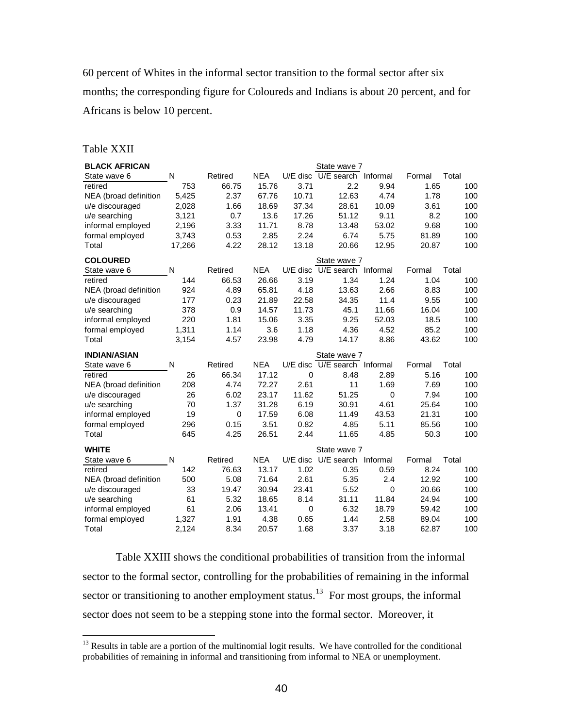60 percent of Whites in the informal sector transition to the formal sector after six months; the corresponding figure for Coloureds and Indians is about 20 percent, and for Africans is below 10 percent.

## Table XXII

 $\overline{a}$ 

| <b>BLACK AFRICAN</b>    | N            |                  | <b>NEA</b> |             | State wave 7<br>U/E disc U/E search Informal |          |                |              |
|-------------------------|--------------|------------------|------------|-------------|----------------------------------------------|----------|----------------|--------------|
| State wave 6<br>retired | 753          | Retired<br>66.75 | 15.76      | 3.71        | 2.2                                          | 9.94     | Formal<br>1.65 | Total<br>100 |
|                         | 5,425        | 2.37             | 67.76      | 10.71       | 12.63                                        | 4.74     | 1.78           | 100          |
| NEA (broad definition   |              | 1.66             | 18.69      | 37.34       | 28.61                                        | 10.09    | 3.61           | 100          |
| u/e discouraged         | 2,028        |                  |            |             |                                              |          |                |              |
| u/e searching           | 3,121        | 0.7              | 13.6       | 17.26       | 51.12                                        | 9.11     | 8.2            | 100          |
| informal employed       | 2,196        | 3.33             | 11.71      | 8.78        | 13.48                                        | 53.02    | 9.68           | 100          |
| formal employed         | 3,743        | 0.53             | 2.85       | 2.24        | 6.74                                         | 5.75     | 81.89          | 100          |
| Total                   | 17,266       | 4.22             | 28.12      | 13.18       | 20.66                                        | 12.95    | 20.87          | 100          |
| <b>COLOURED</b>         |              |                  |            |             | State wave 7                                 |          |                |              |
| State wave 6            | N            | Retired          | <b>NEA</b> |             | U/E disc U/E search Informal                 |          | Formal         | Total        |
| retired                 | 144          | 66.53            | 26.66      | 3.19        | 1.34                                         | 1.24     | 1.04           | 100          |
| NEA (broad definition   | 924          | 4.89             | 65.81      | 4.18        | 13.63                                        | 2.66     | 8.83           | 100          |
| u/e discouraged         | 177          | 0.23             | 21.89      | 22.58       | 34.35                                        | 11.4     | 9.55           | 100          |
| u/e searching           | 378          | 0.9              | 14.57      | 11.73       | 45.1                                         | 11.66    | 16.04          | 100          |
| informal employed       | 220          | 1.81             | 15.06      | 3.35        | 9.25                                         | 52.03    | 18.5           | 100          |
| formal employed         | 1,311        | 1.14             | 3.6        | 1.18        | 4.36                                         | 4.52     | 85.2           | 100          |
| Total                   | 3,154        | 4.57             | 23.98      | 4.79        | 14.17                                        | 8.86     | 43.62          | 100          |
|                         |              |                  |            |             |                                              |          |                |              |
| <b>INDIAN/ASIAN</b>     |              |                  |            |             | State wave 7                                 |          |                |              |
| State wave 6            | N            | Retired          | <b>NEA</b> |             | U/E disc U/E search Informal                 |          | Formal         | Total        |
| retired                 | 26           | 66.34            | 17.12      | $\mathbf 0$ | 8.48                                         | 2.89     | 5.16           | 100          |
| NEA (broad definition   | 208          | 4.74             | 72.27      | 2.61        | 11                                           | 1.69     | 7.69           | 100          |
| u/e discouraged         | 26           | 6.02             | 23.17      | 11.62       | 51.25                                        | 0        | 7.94           | 100          |
| u/e searching           | 70           | 1.37             | 31.28      | 6.19        | 30.91                                        | 4.61     | 25.64          | 100          |
| informal employed       | 19           | $\mathbf 0$      | 17.59      | 6.08        | 11.49                                        | 43.53    | 21.31          | 100          |
| formal employed         | 296          | 0.15             | 3.51       | 0.82        | 4.85                                         | 5.11     | 85.56          | 100          |
| Total                   | 645          | 4.25             | 26.51      | 2.44        | 11.65                                        | 4.85     | 50.3           | 100          |
| <b>WHITE</b>            |              |                  |            |             | State wave 7                                 |          |                |              |
| State wave 6            | $\mathsf{N}$ | Retired          | <b>NEA</b> |             | U/E disc U/E search                          | Informal | Formal         | Total        |
| retired                 | 142          | 76.63            | 13.17      | 1.02        | 0.35                                         | 0.59     | 8.24           | 100          |
| NEA (broad definition   | 500          | 5.08             | 71.64      | 2.61        | 5.35                                         | 2.4      | 12.92          | 100          |
| u/e discouraged         | 33           | 19.47            | 30.94      | 23.41       | 5.52                                         | 0        | 20.66          | 100          |
| u/e searching           | 61           | 5.32             | 18.65      | 8.14        | 31.11                                        | 11.84    | 24.94          | 100          |
| informal employed       | 61           | 2.06             | 13.41      | 0           | 6.32                                         | 18.79    | 59.42          | 100          |
| formal employed         | 1,327        | 1.91             | 4.38       | 0.65        | 1.44                                         | 2.58     | 89.04          | 100          |

Table XXIII shows the conditional probabilities of transition from the informal sector to the formal sector, controlling for the probabilities of remaining in the informal sector or transitioning to another employment status.<sup>[13](#page-40-0)</sup> For most groups, the informal sector does not seem to be a stepping stone into the formal sector. Moreover, it

<span id="page-40-0"></span><sup>&</sup>lt;sup>13</sup> Results in table are a portion of the multinomial logit results. We have controlled for the conditional probabilities of remaining in informal and transitioning from informal to NEA or unemployment.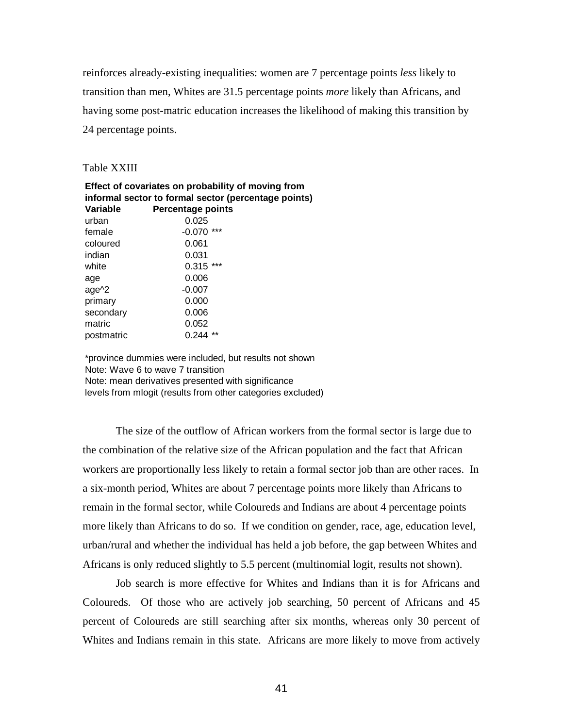reinforces already-existing inequalities: women are 7 percentage points *less* likely to transition than men, Whites are 31.5 percentage points *more* likely than Africans, and having some post-matric education increases the likelihood of making this transition by 24 percentage points.

#### Table XXIII

|            | Effect of covariates on probability of moving from   |  |
|------------|------------------------------------------------------|--|
|            | informal sector to formal sector (percentage points) |  |
| Variable   | <b>Percentage points</b>                             |  |
| urban      | 0.025                                                |  |
| female     | $-0.070$ ***                                         |  |
| coloured   | 0.061                                                |  |
| indian     | 0.031                                                |  |
| white      | $0.315$ ***                                          |  |
| age        | 0.006                                                |  |
| $age^2$    | $-0.007$                                             |  |
| primary    | 0.000                                                |  |
| secondary  | 0.006                                                |  |
| matric     | 0.052                                                |  |
| postmatric | $0.244$ **                                           |  |
|            |                                                      |  |

\*province dummies were included, but results not shown Note: Wave 6 to wave 7 transition Note: mean derivatives presented with significance levels from mlogit (results from other categories excluded)

The size of the outflow of African workers from the formal sector is large due to the combination of the relative size of the African population and the fact that African workers are proportionally less likely to retain a formal sector job than are other races. In a six-month period, Whites are about 7 percentage points more likely than Africans to remain in the formal sector, while Coloureds and Indians are about 4 percentage points more likely than Africans to do so. If we condition on gender, race, age, education level, urban/rural and whether the individual has held a job before, the gap between Whites and Africans is only reduced slightly to 5.5 percent (multinomial logit, results not shown).

 Job search is more effective for Whites and Indians than it is for Africans and Coloureds. Of those who are actively job searching, 50 percent of Africans and 45 percent of Coloureds are still searching after six months, whereas only 30 percent of Whites and Indians remain in this state. Africans are more likely to move from actively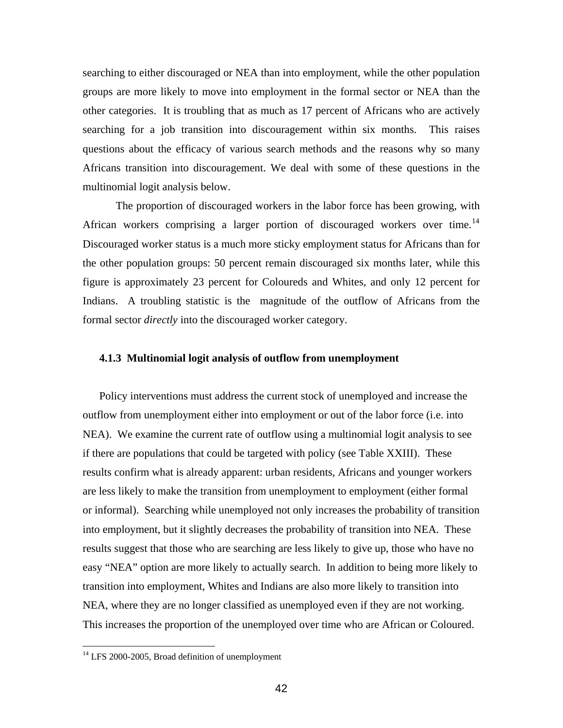searching to either discouraged or NEA than into employment, while the other population groups are more likely to move into employment in the formal sector or NEA than the other categories. It is troubling that as much as 17 percent of Africans who are actively searching for a job transition into discouragement within six months. This raises questions about the efficacy of various search methods and the reasons why so many Africans transition into discouragement. We deal with some of these questions in the multinomial logit analysis below.

The proportion of discouraged workers in the labor force has been growing, with African workers comprising a larger portion of discouraged workers over time.<sup>[14](#page-42-0)</sup> Discouraged worker status is a much more sticky employment status for Africans than for the other population groups: 50 percent remain discouraged six months later, while this figure is approximately 23 percent for Coloureds and Whites, and only 12 percent for Indians. A troubling statistic is the magnitude of the outflow of Africans from the formal sector *directly* into the discouraged worker category.

## **4.1.3 Multinomial logit analysis of outflow from unemployment**

Policy interventions must address the current stock of unemployed and increase the outflow from unemployment either into employment or out of the labor force (i.e. into NEA). We examine the current rate of outflow using a multinomial logit analysis to see if there are populations that could be targeted with policy (see Table XXIII). These results confirm what is already apparent: urban residents, Africans and younger workers are less likely to make the transition from unemployment to employment (either formal or informal). Searching while unemployed not only increases the probability of transition into employment, but it slightly decreases the probability of transition into NEA. These results suggest that those who are searching are less likely to give up, those who have no easy "NEA" option are more likely to actually search. In addition to being more likely to transition into employment, Whites and Indians are also more likely to transition into NEA, where they are no longer classified as unemployed even if they are not working. This increases the proportion of the unemployed over time who are African or Coloured.

<u>.</u>

<span id="page-42-0"></span> $14$  LFS 2000-2005, Broad definition of unemployment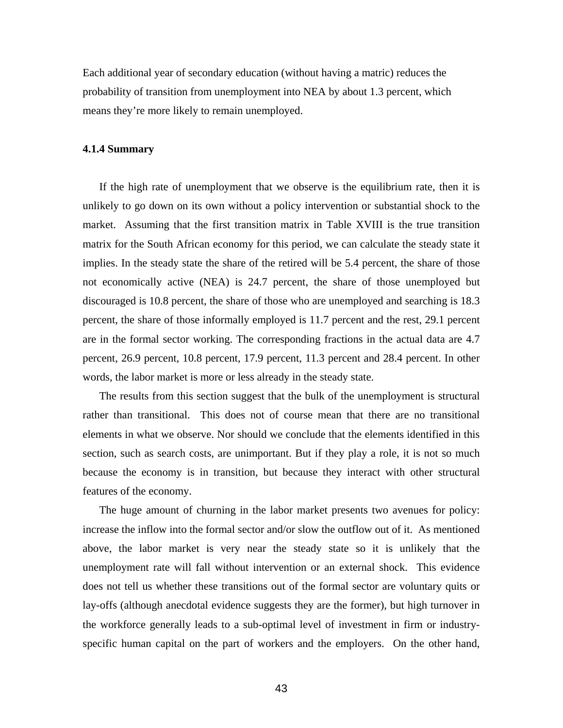Each additional year of secondary education (without having a matric) reduces the probability of transition from unemployment into NEA by about 1.3 percent, which means they're more likely to remain unemployed.

#### **4.1.4 Summary**

If the high rate of unemployment that we observe is the equilibrium rate, then it is unlikely to go down on its own without a policy intervention or substantial shock to the market. Assuming that the first transition matrix in Table XVIII is the true transition matrix for the South African economy for this period, we can calculate the steady state it implies. In the steady state the share of the retired will be 5.4 percent, the share of those not economically active (NEA) is 24.7 percent, the share of those unemployed but discouraged is 10.8 percent, the share of those who are unemployed and searching is 18.3 percent, the share of those informally employed is 11.7 percent and the rest, 29.1 percent are in the formal sector working. The corresponding fractions in the actual data are 4.7 percent, 26.9 percent, 10.8 percent, 17.9 percent, 11.3 percent and 28.4 percent. In other words, the labor market is more or less already in the steady state.

The results from this section suggest that the bulk of the unemployment is structural rather than transitional. This does not of course mean that there are no transitional elements in what we observe. Nor should we conclude that the elements identified in this section, such as search costs, are unimportant. But if they play a role, it is not so much because the economy is in transition, but because they interact with other structural features of the economy.

The huge amount of churning in the labor market presents two avenues for policy: increase the inflow into the formal sector and/or slow the outflow out of it. As mentioned above, the labor market is very near the steady state so it is unlikely that the unemployment rate will fall without intervention or an external shock. This evidence does not tell us whether these transitions out of the formal sector are voluntary quits or lay-offs (although anecdotal evidence suggests they are the former), but high turnover in the workforce generally leads to a sub-optimal level of investment in firm or industryspecific human capital on the part of workers and the employers. On the other hand,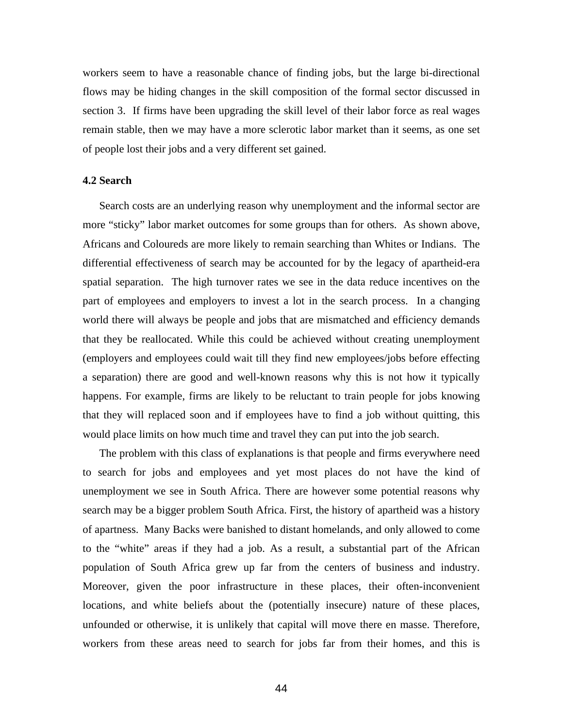workers seem to have a reasonable chance of finding jobs, but the large bi-directional flows may be hiding changes in the skill composition of the formal sector discussed in section 3. If firms have been upgrading the skill level of their labor force as real wages remain stable, then we may have a more sclerotic labor market than it seems, as one set of people lost their jobs and a very different set gained.

#### **4.2 Search**

Search costs are an underlying reason why unemployment and the informal sector are more "sticky" labor market outcomes for some groups than for others. As shown above, Africans and Coloureds are more likely to remain searching than Whites or Indians. The differential effectiveness of search may be accounted for by the legacy of apartheid-era spatial separation. The high turnover rates we see in the data reduce incentives on the part of employees and employers to invest a lot in the search process. In a changing world there will always be people and jobs that are mismatched and efficiency demands that they be reallocated. While this could be achieved without creating unemployment (employers and employees could wait till they find new employees/jobs before effecting a separation) there are good and well-known reasons why this is not how it typically happens. For example, firms are likely to be reluctant to train people for jobs knowing that they will replaced soon and if employees have to find a job without quitting, this would place limits on how much time and travel they can put into the job search.

The problem with this class of explanations is that people and firms everywhere need to search for jobs and employees and yet most places do not have the kind of unemployment we see in South Africa. There are however some potential reasons why search may be a bigger problem South Africa. First, the history of apartheid was a history of apartness. Many Backs were banished to distant homelands, and only allowed to come to the "white" areas if they had a job. As a result, a substantial part of the African population of South Africa grew up far from the centers of business and industry. Moreover, given the poor infrastructure in these places, their often-inconvenient locations, and white beliefs about the (potentially insecure) nature of these places, unfounded or otherwise, it is unlikely that capital will move there en masse. Therefore, workers from these areas need to search for jobs far from their homes, and this is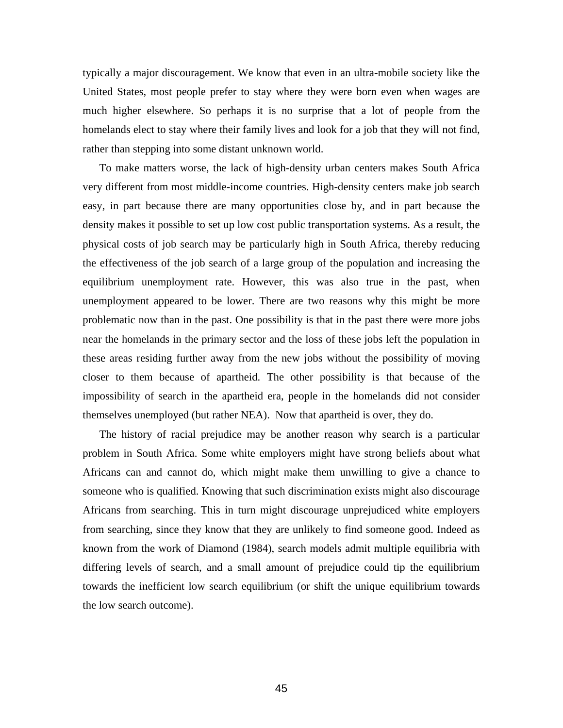typically a major discouragement. We know that even in an ultra-mobile society like the United States, most people prefer to stay where they were born even when wages are much higher elsewhere. So perhaps it is no surprise that a lot of people from the homelands elect to stay where their family lives and look for a job that they will not find, rather than stepping into some distant unknown world.

To make matters worse, the lack of high-density urban centers makes South Africa very different from most middle-income countries. High-density centers make job search easy, in part because there are many opportunities close by, and in part because the density makes it possible to set up low cost public transportation systems. As a result, the physical costs of job search may be particularly high in South Africa, thereby reducing the effectiveness of the job search of a large group of the population and increasing the equilibrium unemployment rate. However, this was also true in the past, when unemployment appeared to be lower. There are two reasons why this might be more problematic now than in the past. One possibility is that in the past there were more jobs near the homelands in the primary sector and the loss of these jobs left the population in these areas residing further away from the new jobs without the possibility of moving closer to them because of apartheid. The other possibility is that because of the impossibility of search in the apartheid era, people in the homelands did not consider themselves unemployed (but rather NEA). Now that apartheid is over, they do.

The history of racial prejudice may be another reason why search is a particular problem in South Africa. Some white employers might have strong beliefs about what Africans can and cannot do, which might make them unwilling to give a chance to someone who is qualified. Knowing that such discrimination exists might also discourage Africans from searching. This in turn might discourage unprejudiced white employers from searching, since they know that they are unlikely to find someone good. Indeed as known from the work of Diamond (1984), search models admit multiple equilibria with differing levels of search, and a small amount of prejudice could tip the equilibrium towards the inefficient low search equilibrium (or shift the unique equilibrium towards the low search outcome).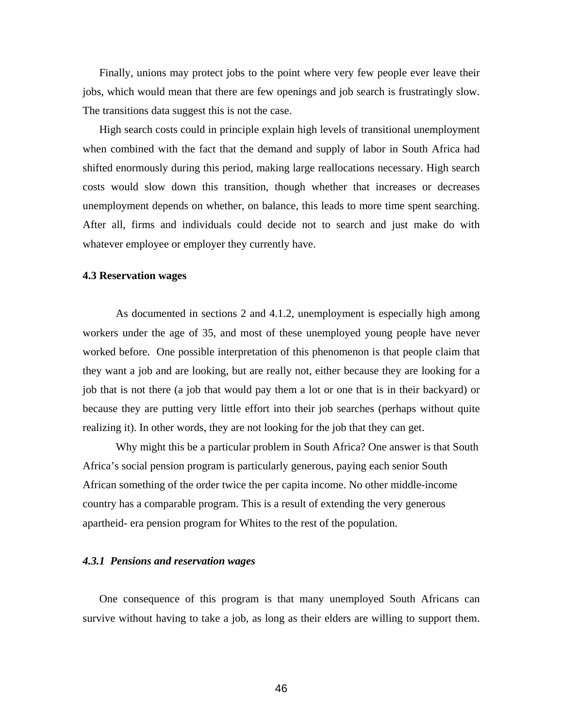Finally, unions may protect jobs to the point where very few people ever leave their jobs, which would mean that there are few openings and job search is frustratingly slow. The transitions data suggest this is not the case.

High search costs could in principle explain high levels of transitional unemployment when combined with the fact that the demand and supply of labor in South Africa had shifted enormously during this period, making large reallocations necessary. High search costs would slow down this transition, though whether that increases or decreases unemployment depends on whether, on balance, this leads to more time spent searching. After all, firms and individuals could decide not to search and just make do with whatever employee or employer they currently have.

## **4.3 Reservation wages**

 As documented in sections 2 and 4.1.2, unemployment is especially high among workers under the age of 35, and most of these unemployed young people have never worked before. One possible interpretation of this phenomenon is that people claim that they want a job and are looking, but are really not, either because they are looking for a job that is not there (a job that would pay them a lot or one that is in their backyard) or because they are putting very little effort into their job searches (perhaps without quite realizing it). In other words, they are not looking for the job that they can get.

Why might this be a particular problem in South Africa? One answer is that South Africa's social pension program is particularly generous, paying each senior South African something of the order twice the per capita income. No other middle-income country has a comparable program. This is a result of extending the very generous apartheid- era pension program for Whites to the rest of the population.

#### *4.3.1 Pensions and reservation wages*

One consequence of this program is that many unemployed South Africans can survive without having to take a job, as long as their elders are willing to support them.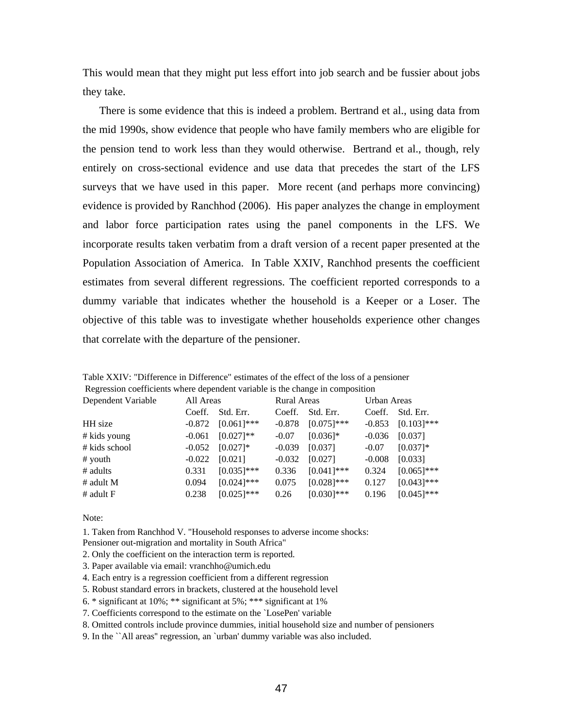This would mean that they might put less effort into job search and be fussier about jobs they take.

There is some evidence that this is indeed a problem. Bertrand et al., using data from the mid 1990s, show evidence that people who have family members who are eligible for the pension tend to work less than they would otherwise. Bertrand et al., though, rely entirely on cross-sectional evidence and use data that precedes the start of the LFS surveys that we have used in this paper. More recent (and perhaps more convincing) evidence is provided by Ranchhod (2006). His paper analyzes the change in employment and labor force participation rates using the panel components in the LFS. We incorporate results taken verbatim from a draft version of a recent paper presented at the Population Association of America. In Table XXIV, Ranchhod presents the coefficient estimates from several different regressions. The coefficient reported corresponds to a dummy variable that indicates whether the household is a Keeper or a Loser. The objective of this table was to investigate whether households experience other changes that correlate with the departure of the pensioner.

|                                                                               | Table XXIV: "Difference in Difference" estimates of the effect of the loss of a pensioner |
|-------------------------------------------------------------------------------|-------------------------------------------------------------------------------------------|
| Regression coefficients where dependent variable is the change in composition |                                                                                           |

| Dependent Variable |          | All Areas     |          | <b>Rural Areas</b> |          | Urban Areas   |  |
|--------------------|----------|---------------|----------|--------------------|----------|---------------|--|
|                    | Coeff.   | Std. Err.     | Coeff.   | Std. Err.          | Coeff.   | Std. Err.     |  |
| HH size            | $-0.872$ | $[0.061]$ *** | $-0.878$ | $[0.075]$ ***      | $-0.853$ | $[0.103]$ *** |  |
| # kids young       | $-0.061$ | $[0.027]**$   | $-0.07$  | $[0.036]$ *        | $-0.036$ | [0.037]       |  |
| # kids school      | $-0.052$ | $[0.027]$ *   | $-0.039$ | [0.037]            | $-0.07$  | $[0.037]$ *   |  |
| $#$ youth          | $-0.022$ | [0.021]       | $-0.032$ | [0.027]            | $-0.008$ | [0.033]       |  |
| # adults           | 0.331    | $[0.035]$ *** | 0.336    | $[0.041]$ ***      | 0.324    | $[0.065]$ *** |  |
| $#$ adult M        | 0.094    | $[0.024]$ *** | 0.075    | $[0.028]$ ***      | 0.127    | $[0.043]$ *** |  |
| # adult $F$        | 0.238    | $[0.025]$ *** | 0.26     | $[0.030]$ ***      | 0.196    | $[0.045]$ *** |  |

Note:

1. Taken from Ranchhod V. "Household responses to adverse income shocks:

Pensioner out-migration and mortality in South Africa"

- 2. Only the coefficient on the interaction term is reported.
- 3. Paper available via email: vranchho@umich.edu
- 4. Each entry is a regression coefficient from a different regression
- 5. Robust standard errors in brackets, clustered at the household level
- 6. \* significant at 10%; \*\* significant at 5%; \*\*\* significant at 1%
- 7. Coefficients correspond to the estimate on the `LosePen' variable

8. Omitted controls include province dummies, initial household size and number of pensioners

9. In the ``All areas'' regression, an `urban' dummy variable was also included.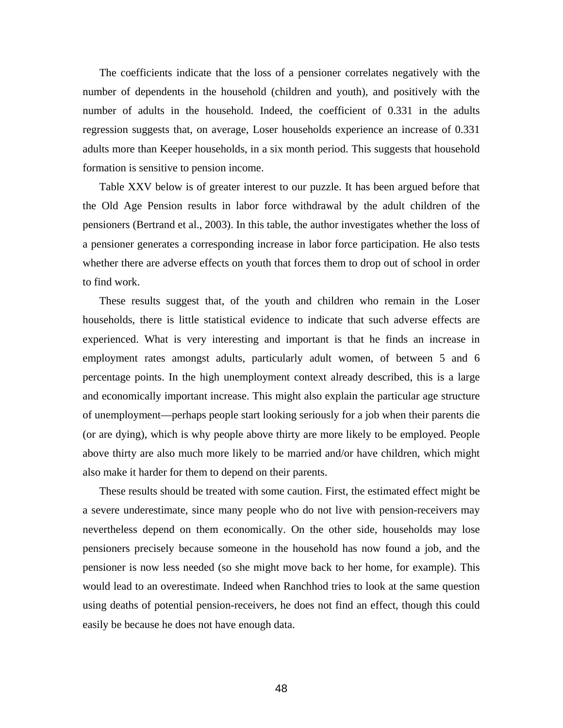The coefficients indicate that the loss of a pensioner correlates negatively with the number of dependents in the household (children and youth), and positively with the number of adults in the household. Indeed, the coefficient of 0.331 in the adults regression suggests that, on average, Loser households experience an increase of 0.331 adults more than Keeper households, in a six month period. This suggests that household formation is sensitive to pension income.

Table XXV below is of greater interest to our puzzle. It has been argued before that the Old Age Pension results in labor force withdrawal by the adult children of the pensioners (Bertrand et al., 2003). In this table, the author investigates whether the loss of a pensioner generates a corresponding increase in labor force participation. He also tests whether there are adverse effects on youth that forces them to drop out of school in order to find work.

These results suggest that, of the youth and children who remain in the Loser households, there is little statistical evidence to indicate that such adverse effects are experienced. What is very interesting and important is that he finds an increase in employment rates amongst adults, particularly adult women, of between 5 and 6 percentage points. In the high unemployment context already described, this is a large and economically important increase. This might also explain the particular age structure of unemployment—perhaps people start looking seriously for a job when their parents die (or are dying), which is why people above thirty are more likely to be employed. People above thirty are also much more likely to be married and/or have children, which might also make it harder for them to depend on their parents.

These results should be treated with some caution. First, the estimated effect might be a severe underestimate, since many people who do not live with pension-receivers may nevertheless depend on them economically. On the other side, households may lose pensioners precisely because someone in the household has now found a job, and the pensioner is now less needed (so she might move back to her home, for example). This would lead to an overestimate. Indeed when Ranchhod tries to look at the same question using deaths of potential pension-receivers, he does not find an effect, though this could easily be because he does not have enough data.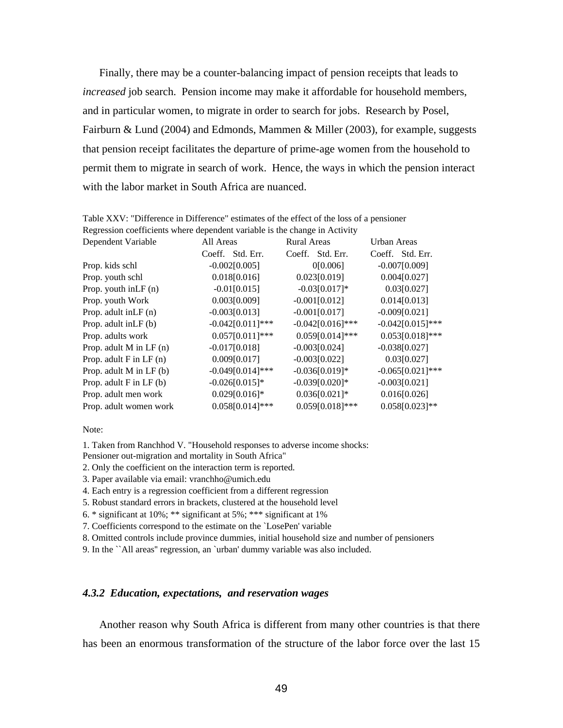Finally, there may be a counter-balancing impact of pension receipts that leads to *increased* job search. Pension income may make it affordable for household members, and in particular women, to migrate in order to search for jobs. Research by Posel, Fairburn & Lund (2004) and Edmonds, Mammen & Miller (2003), for example, suggests that pension receipt facilitates the departure of prime-age women from the household to permit them to migrate in search of work. Hence, the ways in which the pension interact with the labor market in South Africa are nuanced.

| Regression coerricients where dependent variable is the change in Activity |                    |                    |                    |  |
|----------------------------------------------------------------------------|--------------------|--------------------|--------------------|--|
| Dependent Variable                                                         | All Areas          | <b>Rural Areas</b> | Urban Areas        |  |
|                                                                            | Coeff. Std. Err.   | Coeff. Std. Err.   | Coeff. Std. Err.   |  |
| Prop. kids schl                                                            | $-0.002[0.005]$    | 0[0.006]           | $-0.007[0.009]$    |  |
| Prop. youth schl                                                           | 0.018[0.016]       | 0.023[0.019]       | 0.004[0.027]       |  |
| Prop. youth $inLF(n)$                                                      | $-0.01[0.015]$     | $-0.03[0.017]*$    | 0.03[0.027]        |  |
| Prop. youth Work                                                           | 0.003[0.009]       | $-0.001[0.012]$    | 0.014[0.013]       |  |
| Prop. adult in $LF(n)$                                                     | $-0.003[0.013]$    | $-0.001[0.017]$    | $-0.009[0.021]$    |  |
| Prop. adult in LF (b)                                                      | $-0.042[0.011]***$ | $-0.042[0.016]***$ | $-0.042[0.015]***$ |  |
| Prop. adults work                                                          | $0.057[0.011]***$  | $0.059[0.014]***$  | $0.053[0.018]***$  |  |
| Prop. adult $M$ in LF (n)                                                  | $-0.017[0.018]$    | $-0.003[0.024]$    | $-0.038[0.027]$    |  |
| Prop. adult $F$ in $LF$ (n)                                                | 0.009[0.017]       | $-0.003[0.022]$    | 0.03[0.027]        |  |
| Prop. adult $M$ in LF (b)                                                  | $-0.049[0.014]***$ | $-0.036[0.019]*$   | $-0.065[0.021]***$ |  |
| Prop. adult $F$ in $LF(b)$                                                 | $-0.026[0.015]*$   | $-0.039[0.020]*$   | $-0.003[0.021]$    |  |
| Prop. adult men work                                                       | $0.029[0.016]*$    | $0.036[0.021]*$    | 0.016[0.026]       |  |
| Prop. adult women work                                                     | $0.058[0.014]***$  | $0.059[0.018]***$  | $0.058[0.023]**$   |  |

Table XXV: "Difference in Difference" estimates of the effect of the loss of a pensioner Regression coefficients where dependent variable is the change in Activity

Note:

1. Taken from Ranchhod V. "Household responses to adverse income shocks:

- Pensioner out-migration and mortality in South Africa"
- 2. Only the coefficient on the interaction term is reported.
- 3. Paper available via email: vranchho@umich.edu
- 4. Each entry is a regression coefficient from a different regression
- 5. Robust standard errors in brackets, clustered at the household level
- 6. \* significant at  $10\%$ ; \*\* significant at  $5\%$ ; \*\*\* significant at  $1\%$
- 7. Coefficients correspond to the estimate on the `LosePen' variable

8. Omitted controls include province dummies, initial household size and number of pensioners

9. In the ``All areas'' regression, an `urban' dummy variable was also included.

## *4.3.2 Education, expectations, and reservation wages*

Another reason why South Africa is different from many other countries is that there has been an enormous transformation of the structure of the labor force over the last 15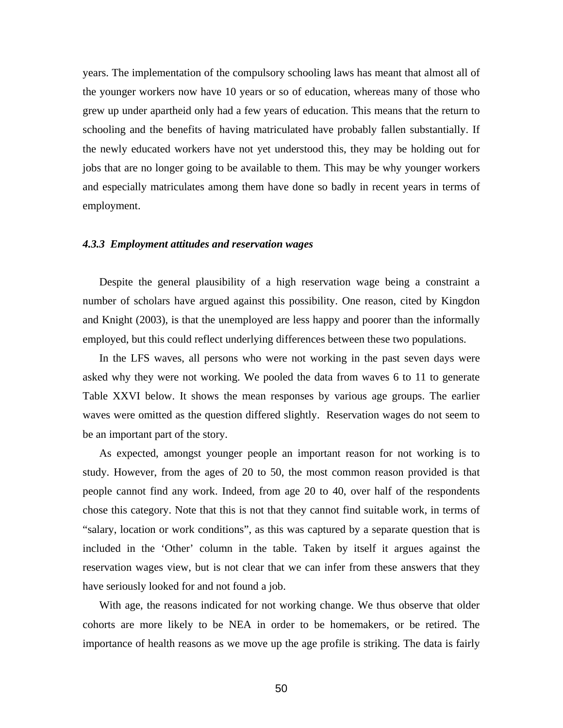years. The implementation of the compulsory schooling laws has meant that almost all of the younger workers now have 10 years or so of education, whereas many of those who grew up under apartheid only had a few years of education. This means that the return to schooling and the benefits of having matriculated have probably fallen substantially. If the newly educated workers have not yet understood this, they may be holding out for jobs that are no longer going to be available to them. This may be why younger workers and especially matriculates among them have done so badly in recent years in terms of employment.

#### *4.3.3 Employment attitudes and reservation wages*

Despite the general plausibility of a high reservation wage being a constraint a number of scholars have argued against this possibility. One reason, cited by Kingdon and Knight (2003), is that the unemployed are less happy and poorer than the informally employed, but this could reflect underlying differences between these two populations.

In the LFS waves, all persons who were not working in the past seven days were asked why they were not working. We pooled the data from waves 6 to 11 to generate Table XXVI below. It shows the mean responses by various age groups. The earlier waves were omitted as the question differed slightly. Reservation wages do not seem to be an important part of the story.

As expected, amongst younger people an important reason for not working is to study. However, from the ages of 20 to 50, the most common reason provided is that people cannot find any work. Indeed, from age 20 to 40, over half of the respondents chose this category. Note that this is not that they cannot find suitable work, in terms of "salary, location or work conditions", as this was captured by a separate question that is included in the 'Other' column in the table. Taken by itself it argues against the reservation wages view, but is not clear that we can infer from these answers that they have seriously looked for and not found a job.

With age, the reasons indicated for not working change. We thus observe that older cohorts are more likely to be NEA in order to be homemakers, or be retired. The importance of health reasons as we move up the age profile is striking. The data is fairly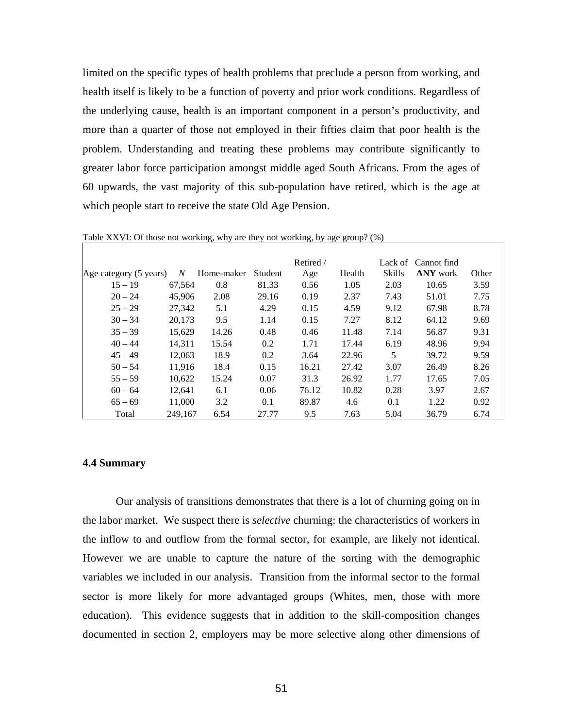limited on the specific types of health problems that preclude a person from working, and health itself is likely to be a function of poverty and prior work conditions. Regardless of the underlying cause, health is an important component in a person's productivity, and more than a quarter of those not employed in their fifties claim that poor health is the problem. Understanding and treating these problems may contribute significantly to greater labor force participation amongst middle aged South Africans. From the ages of 60 upwards, the vast majority of this sub-population have retired, which is the age at which people start to receive the state Old Age Pension.

|                        |         |            |         | Retired / |        |               | Lack of Cannot find |       |
|------------------------|---------|------------|---------|-----------|--------|---------------|---------------------|-------|
| Age category (5 years) | N       | Home-maker | Student | Age       | Health | <b>Skills</b> | <b>ANY</b> work     | Other |
| $15 - 19$              | 67.564  | 0.8        | 81.33   | 0.56      | 1.05   | 2.03          | 10.65               | 3.59  |
| $20 - 24$              | 45,906  | 2.08       | 29.16   | 0.19      | 2.37   | 7.43          | 51.01               | 7.75  |
| $25 - 29$              | 27.342  | 5.1        | 4.29    | 0.15      | 4.59   | 9.12          | 67.98               | 8.78  |
| $30 - 34$              | 20.173  | 9.5        | 1.14    | 0.15      | 7.27   | 8.12          | 64.12               | 9.69  |
| $35 - 39$              | 15,629  | 14.26      | 0.48    | 0.46      | 11.48  | 7.14          | 56.87               | 9.31  |
| $40 - 44$              | 14.311  | 15.54      | 0.2     | 1.71      | 17.44  | 6.19          | 48.96               | 9.94  |
| $45 - 49$              | 12.063  | 18.9       | 0.2     | 3.64      | 22.96  | 5             | 39.72               | 9.59  |
| $50 - 54$              | 11.916  | 18.4       | 0.15    | 16.21     | 27.42  | 3.07          | 26.49               | 8.26  |
| $55 - 59$              | 10.622  | 15.24      | 0.07    | 31.3      | 26.92  | 1.77          | 17.65               | 7.05  |
| $60 - 64$              | 12,641  | 6.1        | 0.06    | 76.12     | 10.82  | 0.28          | 3.97                | 2.67  |
| $65 - 69$              | 11.000  | 3.2        | 0.1     | 89.87     | 4.6    | 0.1           | 1.22                | 0.92  |
| Total                  | 249.167 | 6.54       | 27.77   | 9.5       | 7.63   | 5.04          | 36.79               | 6.74  |

Table XXVI: Of those not working, why are they not working, by age group? (%)

#### **4.4 Summary**

 Our analysis of transitions demonstrates that there is a lot of churning going on in the labor market. We suspect there is *selective* churning: the characteristics of workers in the inflow to and outflow from the formal sector, for example, are likely not identical. However we are unable to capture the nature of the sorting with the demographic variables we included in our analysis. Transition from the informal sector to the formal sector is more likely for more advantaged groups (Whites, men, those with more education). This evidence suggests that in addition to the skill-composition changes documented in section 2, employers may be more selective along other dimensions of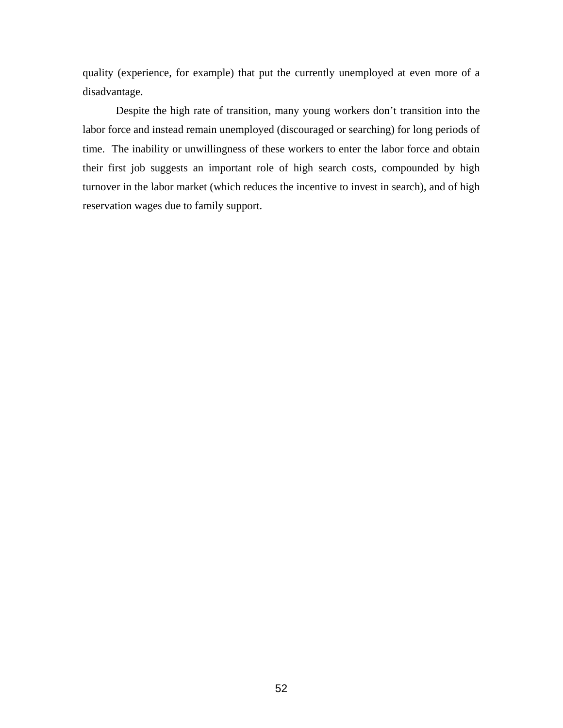quality (experience, for example) that put the currently unemployed at even more of a disadvantage.

 Despite the high rate of transition, many young workers don't transition into the labor force and instead remain unemployed (discouraged or searching) for long periods of time. The inability or unwillingness of these workers to enter the labor force and obtain their first job suggests an important role of high search costs, compounded by high turnover in the labor market (which reduces the incentive to invest in search), and of high reservation wages due to family support.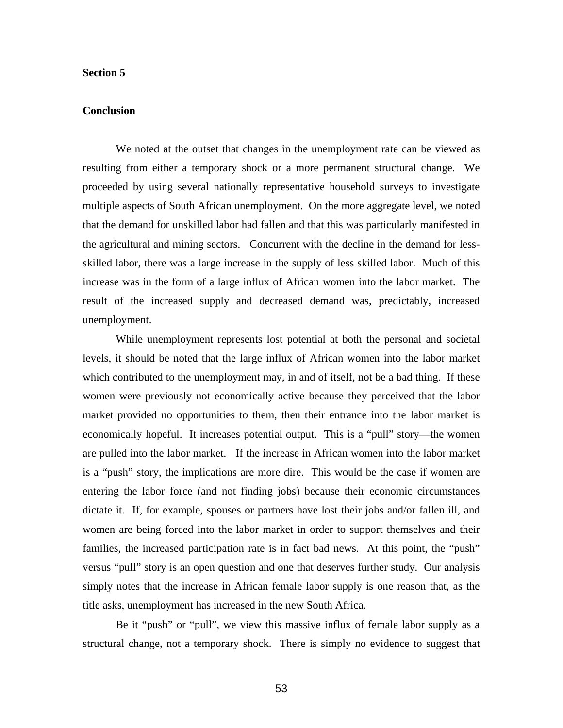#### **Section 5**

## **Conclusion**

We noted at the outset that changes in the unemployment rate can be viewed as resulting from either a temporary shock or a more permanent structural change. We proceeded by using several nationally representative household surveys to investigate multiple aspects of South African unemployment. On the more aggregate level, we noted that the demand for unskilled labor had fallen and that this was particularly manifested in the agricultural and mining sectors. Concurrent with the decline in the demand for lessskilled labor, there was a large increase in the supply of less skilled labor. Much of this increase was in the form of a large influx of African women into the labor market. The result of the increased supply and decreased demand was, predictably, increased unemployment.

 While unemployment represents lost potential at both the personal and societal levels, it should be noted that the large influx of African women into the labor market which contributed to the unemployment may, in and of itself, not be a bad thing. If these women were previously not economically active because they perceived that the labor market provided no opportunities to them, then their entrance into the labor market is economically hopeful. It increases potential output. This is a "pull" story—the women are pulled into the labor market. If the increase in African women into the labor market is a "push" story, the implications are more dire. This would be the case if women are entering the labor force (and not finding jobs) because their economic circumstances dictate it. If, for example, spouses or partners have lost their jobs and/or fallen ill, and women are being forced into the labor market in order to support themselves and their families, the increased participation rate is in fact bad news. At this point, the "push" versus "pull" story is an open question and one that deserves further study. Our analysis simply notes that the increase in African female labor supply is one reason that, as the title asks, unemployment has increased in the new South Africa.

Be it "push" or "pull", we view this massive influx of female labor supply as a structural change, not a temporary shock. There is simply no evidence to suggest that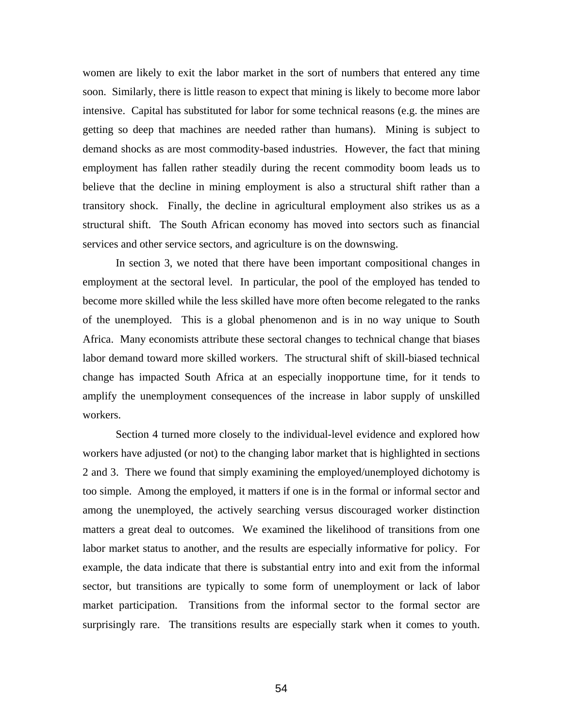women are likely to exit the labor market in the sort of numbers that entered any time soon. Similarly, there is little reason to expect that mining is likely to become more labor intensive. Capital has substituted for labor for some technical reasons (e.g. the mines are getting so deep that machines are needed rather than humans). Mining is subject to demand shocks as are most commodity-based industries. However, the fact that mining employment has fallen rather steadily during the recent commodity boom leads us to believe that the decline in mining employment is also a structural shift rather than a transitory shock. Finally, the decline in agricultural employment also strikes us as a structural shift. The South African economy has moved into sectors such as financial services and other service sectors, and agriculture is on the downswing.

 In section 3, we noted that there have been important compositional changes in employment at the sectoral level. In particular, the pool of the employed has tended to become more skilled while the less skilled have more often become relegated to the ranks of the unemployed. This is a global phenomenon and is in no way unique to South Africa. Many economists attribute these sectoral changes to technical change that biases labor demand toward more skilled workers. The structural shift of skill-biased technical change has impacted South Africa at an especially inopportune time, for it tends to amplify the unemployment consequences of the increase in labor supply of unskilled workers.

Section 4 turned more closely to the individual-level evidence and explored how workers have adjusted (or not) to the changing labor market that is highlighted in sections 2 and 3. There we found that simply examining the employed/unemployed dichotomy is too simple. Among the employed, it matters if one is in the formal or informal sector and among the unemployed, the actively searching versus discouraged worker distinction matters a great deal to outcomes. We examined the likelihood of transitions from one labor market status to another, and the results are especially informative for policy. For example, the data indicate that there is substantial entry into and exit from the informal sector, but transitions are typically to some form of unemployment or lack of labor market participation. Transitions from the informal sector to the formal sector are surprisingly rare. The transitions results are especially stark when it comes to youth.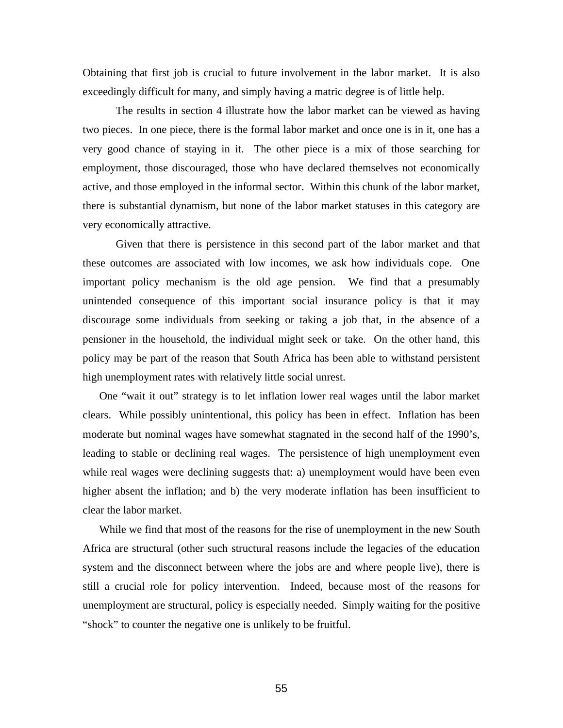Obtaining that first job is crucial to future involvement in the labor market. It is also exceedingly difficult for many, and simply having a matric degree is of little help.

 The results in section 4 illustrate how the labor market can be viewed as having two pieces. In one piece, there is the formal labor market and once one is in it, one has a very good chance of staying in it. The other piece is a mix of those searching for employment, those discouraged, those who have declared themselves not economically active, and those employed in the informal sector. Within this chunk of the labor market, there is substantial dynamism, but none of the labor market statuses in this category are very economically attractive.

 Given that there is persistence in this second part of the labor market and that these outcomes are associated with low incomes, we ask how individuals cope. One important policy mechanism is the old age pension. We find that a presumably unintended consequence of this important social insurance policy is that it may discourage some individuals from seeking or taking a job that, in the absence of a pensioner in the household, the individual might seek or take. On the other hand, this policy may be part of the reason that South Africa has been able to withstand persistent high unemployment rates with relatively little social unrest.

One "wait it out" strategy is to let inflation lower real wages until the labor market clears. While possibly unintentional, this policy has been in effect. Inflation has been moderate but nominal wages have somewhat stagnated in the second half of the 1990's, leading to stable or declining real wages. The persistence of high unemployment even while real wages were declining suggests that: a) unemployment would have been even higher absent the inflation; and b) the very moderate inflation has been insufficient to clear the labor market.

While we find that most of the reasons for the rise of unemployment in the new South Africa are structural (other such structural reasons include the legacies of the education system and the disconnect between where the jobs are and where people live), there is still a crucial role for policy intervention. Indeed, because most of the reasons for unemployment are structural, policy is especially needed. Simply waiting for the positive "shock" to counter the negative one is unlikely to be fruitful.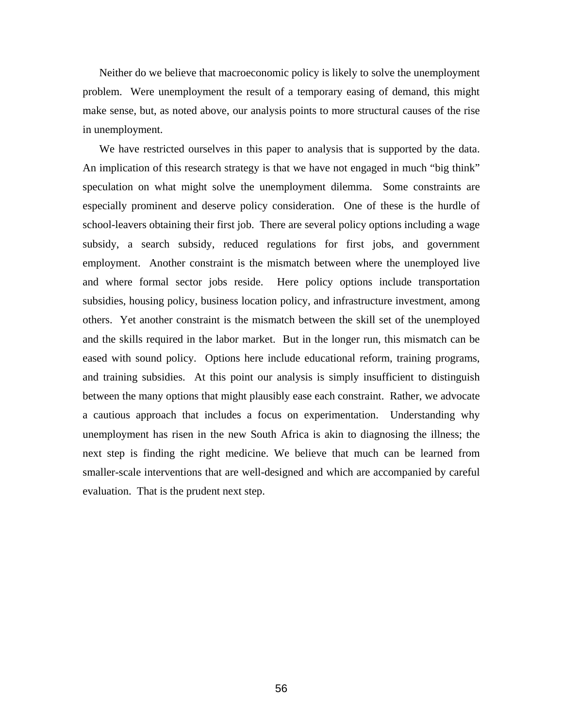Neither do we believe that macroeconomic policy is likely to solve the unemployment problem. Were unemployment the result of a temporary easing of demand, this might make sense, but, as noted above, our analysis points to more structural causes of the rise in unemployment.

We have restricted ourselves in this paper to analysis that is supported by the data. An implication of this research strategy is that we have not engaged in much "big think" speculation on what might solve the unemployment dilemma. Some constraints are especially prominent and deserve policy consideration. One of these is the hurdle of school-leavers obtaining their first job. There are several policy options including a wage subsidy, a search subsidy, reduced regulations for first jobs, and government employment. Another constraint is the mismatch between where the unemployed live and where formal sector jobs reside. Here policy options include transportation subsidies, housing policy, business location policy, and infrastructure investment, among others. Yet another constraint is the mismatch between the skill set of the unemployed and the skills required in the labor market. But in the longer run, this mismatch can be eased with sound policy. Options here include educational reform, training programs, and training subsidies. At this point our analysis is simply insufficient to distinguish between the many options that might plausibly ease each constraint. Rather, we advocate a cautious approach that includes a focus on experimentation. Understanding why unemployment has risen in the new South Africa is akin to diagnosing the illness; the next step is finding the right medicine. We believe that much can be learned from smaller-scale interventions that are well-designed and which are accompanied by careful evaluation. That is the prudent next step.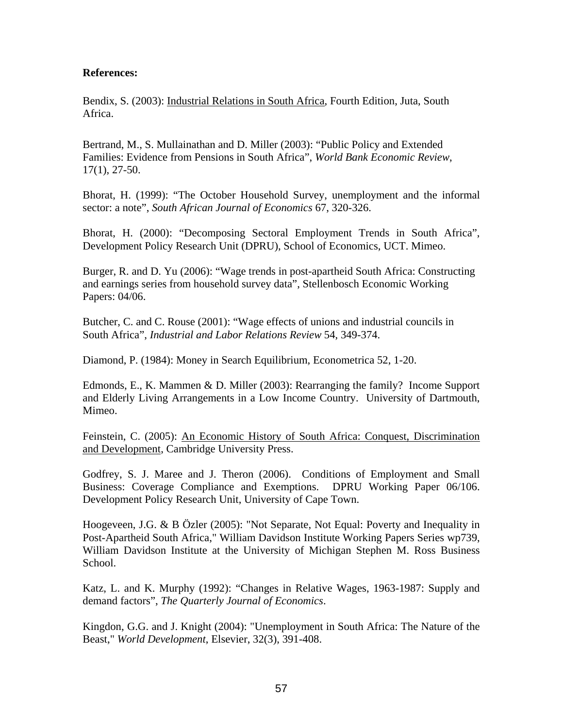# **References:**

Bendix, S. (2003): Industrial Relations in South Africa, Fourth Edition, Juta, South Africa.

Bertrand, M., S. Mullainathan and D. Miller (2003): "Public Policy and Extended Families: Evidence from Pensions in South Africa", *World Bank Economic Review*, 17(1), 27-50.

Bhorat, H. (1999): "The October Household Survey, unemployment and the informal sector: a note", *South African Journal of Economics* 67, 320-326.

Bhorat, H. (2000): "Decomposing Sectoral Employment Trends in South Africa", Development Policy Research Unit (DPRU), School of Economics, UCT. Mimeo.

Burger, R. and D. Yu (2006): "Wage trends in post-apartheid South Africa: Constructing and earnings series from household survey data", Stellenbosch Economic Working Papers: 04/06.

Butcher, C. and C. Rouse (2001): "Wage effects of unions and industrial councils in South Africa", *Industrial and Labor Relations Review* 54, 349-374.

Diamond, P. (1984): Money in Search Equilibrium, Econometrica 52, 1-20.

Edmonds, E., K. Mammen & D. Miller (2003): Rearranging the family? Income Support and Elderly Living Arrangements in a Low Income Country. University of Dartmouth, Mimeo.

Feinstein, C. (2005): An Economic History of South Africa: Conquest, Discrimination and Development, Cambridge University Press.

Godfrey, S. J. Maree and J. Theron (2006). Conditions of Employment and Small Business: Coverage Compliance and Exemptions. DPRU Working Paper 06/106. Development Policy Research Unit, University of Cape Town.

Hoogeveen, J.G. & B Özler (2005): "Not Separate, Not Equal: Poverty and Inequality in Post-Apartheid South Africa," William Davidson Institute Working Papers Series wp739, William Davidson Institute at the University of Michigan Stephen M. Ross Business School.

Katz, L. and K. Murphy (1992): "Changes in Relative Wages, 1963-1987: Supply and demand factors", *The Quarterly Journal of Economics*.

Kingdon, G.G. and J. Knight (2004): "Unemployment in South Africa: The Nature of the Beast," *World Development*, Elsevier, 32(3), 391-408.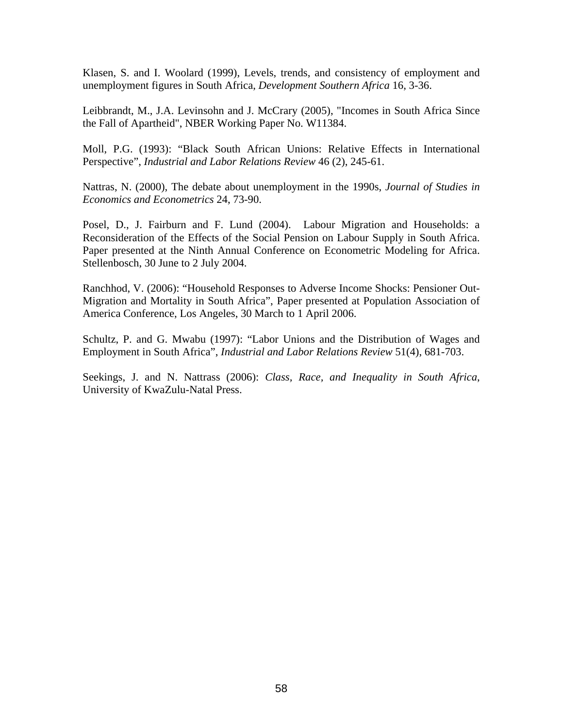Klasen, S. and I. Woolard (1999), Levels, trends, and consistency of employment and unemployment figures in South Africa, *Development Southern Africa* 16, 3-36.

Leibbrandt, M., J.A. Levinsohn and J. McCrary (2005), "Incomes in South Africa Since the Fall of Apartheid", NBER Working Paper No. W11384.

Moll, P.G. (1993): "Black South African Unions: Relative Effects in International Perspective", *Industrial and Labor Relations Review* 46 (2), 245-61.

Nattras, N. (2000), The debate about unemployment in the 1990s, *Journal of Studies in Economics and Econometrics* 24, 73-90.

Posel, D., J. Fairburn and F. Lund (2004). Labour Migration and Households: a Reconsideration of the Effects of the Social Pension on Labour Supply in South Africa. Paper presented at the Ninth Annual Conference on Econometric Modeling for Africa. Stellenbosch, 30 June to 2 July 2004.

Ranchhod, V. (2006): "Household Responses to Adverse Income Shocks: Pensioner Out-Migration and Mortality in South Africa", Paper presented at Population Association of America Conference, Los Angeles, 30 March to 1 April 2006.

Schultz, P. and G. Mwabu (1997): "Labor Unions and the Distribution of Wages and Employment in South Africa", *Industrial and Labor Relations Review* 51(4), 681-703.

Seekings, J. and N. Nattrass (2006): *Class, Race, and Inequality in South Africa*, University of KwaZulu-Natal Press.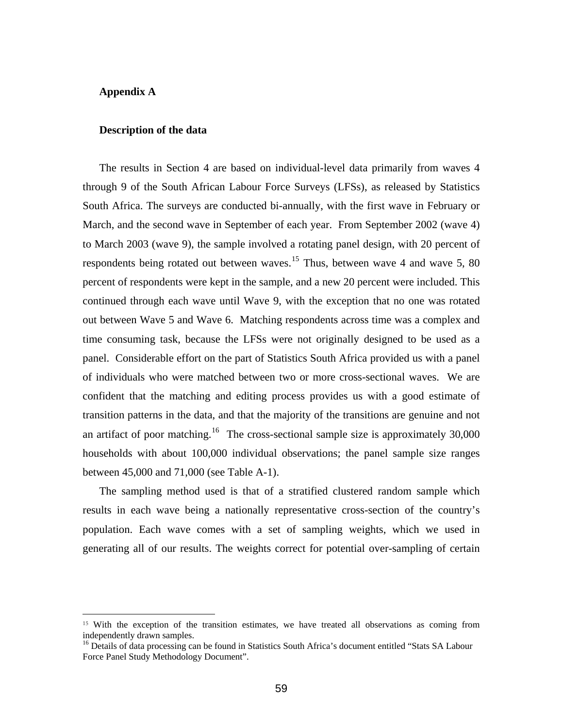## **Appendix A**

 $\overline{a}$ 

#### **Description of the data**

The results in Section 4 are based on individual-level data primarily from waves 4 through 9 of the South African Labour Force Surveys (LFSs), as released by Statistics South Africa. The surveys are conducted bi-annually, with the first wave in February or March, and the second wave in September of each year. From September 2002 (wave 4) to March 2003 (wave 9), the sample involved a rotating panel design, with 20 percent of respondents being rotated out between waves.<sup>[15](#page-59-0)</sup> Thus, between wave 4 and wave 5, 80 percent of respondents were kept in the sample, and a new 20 percent were included. This continued through each wave until Wave 9, with the exception that no one was rotated out between Wave 5 and Wave 6. Matching respondents across time was a complex and time consuming task, because the LFSs were not originally designed to be used as a panel. Considerable effort on the part of Statistics South Africa provided us with a panel of individuals who were matched between two or more cross-sectional waves. We are confident that the matching and editing process provides us with a good estimate of transition patterns in the data, and that the majority of the transitions are genuine and not an artifact of poor matching.<sup>[16](#page-59-1)</sup> The cross-sectional sample size is approximately  $30,000$ households with about 100,000 individual observations; the panel sample size ranges between 45,000 and 71,000 (see Table A-1).

The sampling method used is that of a stratified clustered random sample which results in each wave being a nationally representative cross-section of the country's population. Each wave comes with a set of sampling weights, which we used in generating all of our results. The weights correct for potential over-sampling of certain

<span id="page-59-0"></span><sup>&</sup>lt;sup>15</sup> With the exception of the transition estimates, we have treated all observations as coming from independently drawn samples.

<span id="page-59-1"></span><sup>&</sup>lt;sup>16</sup> Details of data processing can be found in Statistics South Africa's document entitled "Stats SA Labour Force Panel Study Methodology Document".